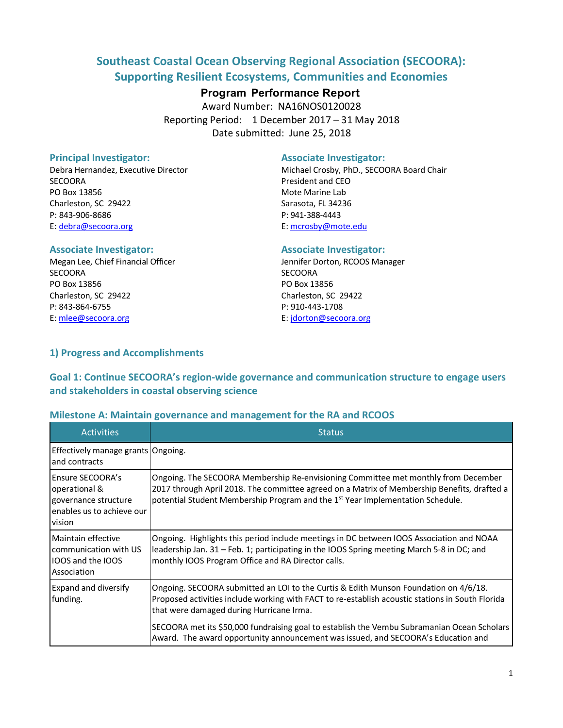# **Southeast Coastal Ocean Observing Regional Association (SECOORA): Supporting Resilient Ecosystems, Communities and Economies**

## **Program Performance Report**

Award Number: NA16NOS0120028 Reporting Period: 1 December 2017 – 31 May 2018 Date submitted: June 25, 2018

SECOORA President and CEO PO Box 13856 Mote Marine Lab Charleston, SC 29422 Sarasota, FL 34236 P: 843-906-8686 P: 941-388-4443 E: debra@secoora.org E: mcrosby@mote.edu

SECOORA SECOORA PO Box 13856 PO Box 13856 Charleston, SC 29422 Charleston, SC 29422 P: 843-864-6755 P: 910-443-1708 E: mlee@secoora.org E: jdorton@secoora.org

#### **Principal Investigator:** Associate Investigator:

Debra Hernandez, Executive Director **Michael Crosby, PhD., SECOORA Board Chair** 

#### **Associate Investigator: Associate Investigator:**

Megan Lee, Chief Financial Officer **Jennifer Dorton, RCOOS Manager** Jennifer Dorton, RCOOS Manager

## **1) Progress and Accomplishments**

## **Goal 1: Continue SECOORA's region-wide governance and communication structure to engage users and stakeholders in coastal observing science**

### **Milestone A: Maintain governance and management for the RA and RCOOS**

| <b>Activities</b>                                                                                        | <b>Status</b>                                                                                                                                                                                                                                                                   |
|----------------------------------------------------------------------------------------------------------|---------------------------------------------------------------------------------------------------------------------------------------------------------------------------------------------------------------------------------------------------------------------------------|
| Effectively manage grants Ongoing.<br>and contracts                                                      |                                                                                                                                                                                                                                                                                 |
| <b>IEnsure SECOORA's</b><br>operational &<br>governance structure<br>enables us to achieve our<br>vision | Ongoing. The SECOORA Membership Re-envisioning Committee met monthly from December<br>2017 through April 2018. The committee agreed on a Matrix of Membership Benefits, drafted a<br>potential Student Membership Program and the 1 <sup>st</sup> Year Implementation Schedule. |
| Maintain effective<br>communication with US<br><b>IIOOS and the IOOS</b><br>Association                  | Ongoing. Highlights this period include meetings in DC between IOOS Association and NOAA<br>leadership Jan. 31 – Feb. 1; participating in the IOOS Spring meeting March 5-8 in DC; and<br>monthly IOOS Program Office and RA Director calls.                                    |
| <b>Expand and diversify</b><br>funding.                                                                  | Ongoing. SECOORA submitted an LOI to the Curtis & Edith Munson Foundation on 4/6/18.<br>Proposed activities include working with FACT to re-establish acoustic stations in South Florida<br>that were damaged during Hurricane Irma.                                            |
|                                                                                                          | SECOORA met its \$50,000 fundraising goal to establish the Vembu Subramanian Ocean Scholars<br>Award. The award opportunity announcement was issued, and SECOORA's Education and                                                                                                |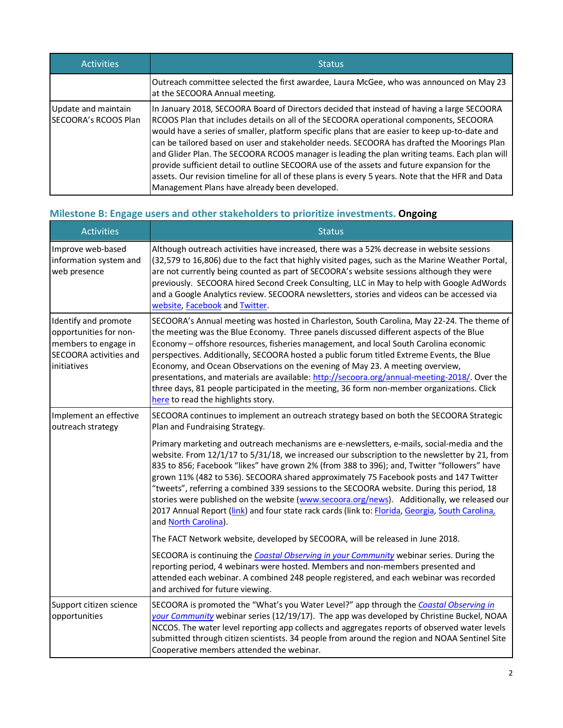| <b>Activities</b>                           | <b>Status</b>                                                                                                                                                                                                                                                                                                                                                                                                                                                                                                                                                                                                                                                                                                                             |  |  |  |  |  |
|---------------------------------------------|-------------------------------------------------------------------------------------------------------------------------------------------------------------------------------------------------------------------------------------------------------------------------------------------------------------------------------------------------------------------------------------------------------------------------------------------------------------------------------------------------------------------------------------------------------------------------------------------------------------------------------------------------------------------------------------------------------------------------------------------|--|--|--|--|--|
|                                             | Outreach committee selected the first awardee, Laura McGee, who was announced on May 23<br>at the SECOORA Annual meeting.                                                                                                                                                                                                                                                                                                                                                                                                                                                                                                                                                                                                                 |  |  |  |  |  |
| Update and maintain<br>SECOORA's RCOOS Plan | In January 2018, SECOORA Board of Directors decided that instead of having a large SECOORA<br>RCOOS Plan that includes details on all of the SECOORA operational components, SECOORA<br>would have a series of smaller, platform specific plans that are easier to keep up-to-date and<br>can be tailored based on user and stakeholder needs. SECOORA has drafted the Moorings Plan<br>and Glider Plan. The SECOORA RCOOS manager is leading the plan writing teams. Each plan will<br>provide sufficient detail to outline SECOORA use of the assets and future expansion for the<br>assets. Our revision timeline for all of these plans is every 5 years. Note that the HFR and Data<br>Management Plans have already been developed. |  |  |  |  |  |

## **Milestone B: Engage users and other stakeholders to prioritize investments. Ongoing**

| <b>Activities</b>                                                                                               | <b>Status</b>                                                                                                                                                                                                                                                                                                                                                                                                                                                                                                                                                                                                                                                                                                |  |  |  |  |  |
|-----------------------------------------------------------------------------------------------------------------|--------------------------------------------------------------------------------------------------------------------------------------------------------------------------------------------------------------------------------------------------------------------------------------------------------------------------------------------------------------------------------------------------------------------------------------------------------------------------------------------------------------------------------------------------------------------------------------------------------------------------------------------------------------------------------------------------------------|--|--|--|--|--|
| Improve web-based<br>information system and<br>web presence                                                     | Although outreach activities have increased, there was a 52% decrease in website sessions<br>(32,579 to 16,806) due to the fact that highly visited pages, such as the Marine Weather Portal,<br>are not currently being counted as part of SECOORA's website sessions although they were<br>previously. SECOORA hired Second Creek Consulting, LLC in May to help with Google AdWords<br>and a Google Analytics review. SECOORA newsletters, stories and videos can be accessed via<br>website, Facebook and Twitter.                                                                                                                                                                                       |  |  |  |  |  |
| Identify and promote<br>opportunities for non-<br>members to engage in<br>SECOORA activities and<br>initiatives | SECOORA's Annual meeting was hosted in Charleston, South Carolina, May 22-24. The theme of<br>the meeting was the Blue Economy. Three panels discussed different aspects of the Blue<br>Economy - offshore resources, fisheries management, and local South Carolina economic<br>perspectives. Additionally, SECOORA hosted a public forum titled Extreme Events, the Blue<br>Economy, and Ocean Observations on the evening of May 23. A meeting overview,<br>presentations, and materials are available: http://secoora.org/annual-meeting-2018/. Over the<br>three days, 81 people participated in the meeting, 36 form non-member organizations. Click<br>here to read the highlights story.             |  |  |  |  |  |
| Implement an effective<br>outreach strategy                                                                     | SECOORA continues to implement an outreach strategy based on both the SECOORA Strategic<br>Plan and Fundraising Strategy.                                                                                                                                                                                                                                                                                                                                                                                                                                                                                                                                                                                    |  |  |  |  |  |
|                                                                                                                 | Primary marketing and outreach mechanisms are e-newsletters, e-mails, social-media and the<br>website. From 12/1/17 to 5/31/18, we increased our subscription to the newsletter by 21, from<br>835 to 856; Facebook "likes" have grown 2% (from 388 to 396); and, Twitter "followers" have<br>grown 11% (482 to 536). SECOORA shared approximately 75 Facebook posts and 147 Twitter<br>"tweets", referring a combined 339 sessions to the SECOORA website. During this period, 18<br>stories were published on the website (www.secoora.org/news). Additionally, we released our<br>2017 Annual Report (link) and four state rack cards (link to: Florida, Georgia, South Carolina,<br>and North Carolina). |  |  |  |  |  |
|                                                                                                                 | The FACT Network website, developed by SECOORA, will be released in June 2018.                                                                                                                                                                                                                                                                                                                                                                                                                                                                                                                                                                                                                               |  |  |  |  |  |
|                                                                                                                 | SECOORA is continuing the Coastal Observing in your Community webinar series. During the<br>reporting period, 4 webinars were hosted. Members and non-members presented and<br>attended each webinar. A combined 248 people registered, and each webinar was recorded<br>and archived for future viewing.                                                                                                                                                                                                                                                                                                                                                                                                    |  |  |  |  |  |
| Support citizen science<br>opportunities                                                                        | SECOORA is promoted the "What's you Water Level?" app through the Coastal Observing in<br>your Community webinar series (12/19/17). The app was developed by Christine Buckel, NOAA<br>NCCOS. The water level reporting app collects and aggregates reports of observed water levels<br>submitted through citizen scientists. 34 people from around the region and NOAA Sentinel Site<br>Cooperative members attended the webinar.                                                                                                                                                                                                                                                                           |  |  |  |  |  |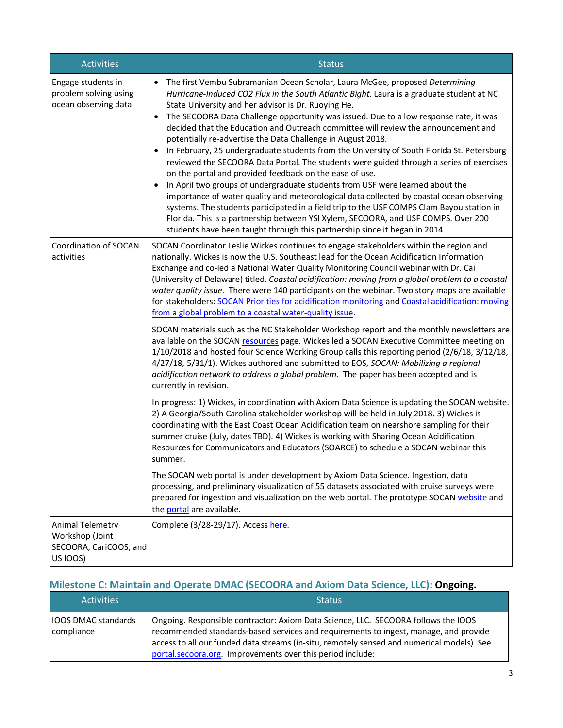| <b>Activities</b>                                                                | <b>Status</b>                                                                                                                                                                                                                                                                                                                                                                                                                                                                                                                                                                                                                                                                                                                                                                                                                                                                                                                                                                                                                                                                                                                                                                                  |  |  |  |  |  |
|----------------------------------------------------------------------------------|------------------------------------------------------------------------------------------------------------------------------------------------------------------------------------------------------------------------------------------------------------------------------------------------------------------------------------------------------------------------------------------------------------------------------------------------------------------------------------------------------------------------------------------------------------------------------------------------------------------------------------------------------------------------------------------------------------------------------------------------------------------------------------------------------------------------------------------------------------------------------------------------------------------------------------------------------------------------------------------------------------------------------------------------------------------------------------------------------------------------------------------------------------------------------------------------|--|--|--|--|--|
| Engage students in<br>problem solving using<br>ocean observing data              | The first Vembu Subramanian Ocean Scholar, Laura McGee, proposed Determining<br>$\bullet$<br>Hurricane-Induced CO2 Flux in the South Atlantic Bight. Laura is a graduate student at NC<br>State University and her advisor is Dr. Ruoying He.<br>The SECOORA Data Challenge opportunity was issued. Due to a low response rate, it was<br>decided that the Education and Outreach committee will review the announcement and<br>potentially re-advertise the Data Challenge in August 2018.<br>In February, 25 undergraduate students from the University of South Florida St. Petersburg<br>reviewed the SECOORA Data Portal. The students were guided through a series of exercises<br>on the portal and provided feedback on the ease of use.<br>In April two groups of undergraduate students from USF were learned about the<br>importance of water quality and meteorological data collected by coastal ocean observing<br>systems. The students participated in a field trip to the USF COMPS Clam Bayou station in<br>Florida. This is a partnership between YSI Xylem, SECOORA, and USF COMPS. Over 200<br>students have been taught through this partnership since it began in 2014. |  |  |  |  |  |
| Coordination of SOCAN<br>activities                                              | SOCAN Coordinator Leslie Wickes continues to engage stakeholders within the region and<br>nationally. Wickes is now the U.S. Southeast lead for the Ocean Acidification Information<br>Exchange and co-led a National Water Quality Monitoring Council webinar with Dr. Cai<br>(University of Delaware) titled, Coastal acidification: moving from a global problem to a coastal<br>water quality issue. There were 140 participants on the webinar. Two story maps are available<br>for stakeholders: SOCAN Priorities for acidification monitoring and Coastal acidification: moving<br>from a global problem to a coastal water-quality issue.                                                                                                                                                                                                                                                                                                                                                                                                                                                                                                                                              |  |  |  |  |  |
|                                                                                  | SOCAN materials such as the NC Stakeholder Workshop report and the monthly newsletters are<br>available on the SOCAN resources page. Wickes led a SOCAN Executive Committee meeting on<br>1/10/2018 and hosted four Science Working Group calls this reporting period (2/6/18, 3/12/18,<br>4/27/18, 5/31/1). Wickes authored and submitted to EOS, SOCAN: Mobilizing a regional<br>acidification network to address a global problem. The paper has been accepted and is<br>currently in revision.                                                                                                                                                                                                                                                                                                                                                                                                                                                                                                                                                                                                                                                                                             |  |  |  |  |  |
|                                                                                  | In progress: 1) Wickes, in coordination with Axiom Data Science is updating the SOCAN website.<br>2) A Georgia/South Carolina stakeholder workshop will be held in July 2018. 3) Wickes is<br>coordinating with the East Coast Ocean Acidification team on nearshore sampling for their<br>summer cruise (July, dates TBD). 4) Wickes is working with Sharing Ocean Acidification<br>Resources for Communicators and Educators (SOARCE) to schedule a SOCAN webinar this<br>summer.                                                                                                                                                                                                                                                                                                                                                                                                                                                                                                                                                                                                                                                                                                            |  |  |  |  |  |
|                                                                                  | The SOCAN web portal is under development by Axiom Data Science. Ingestion, data<br>processing, and preliminary visualization of 55 datasets associated with cruise surveys were<br>prepared for ingestion and visualization on the web portal. The prototype SOCAN website and<br>the portal are available.                                                                                                                                                                                                                                                                                                                                                                                                                                                                                                                                                                                                                                                                                                                                                                                                                                                                                   |  |  |  |  |  |
| <b>Animal Telemetry</b><br>Workshop (Joint<br>SECOORA, CariCOOS, and<br>US IOOS) | Complete (3/28-29/17). Access here.                                                                                                                                                                                                                                                                                                                                                                                                                                                                                                                                                                                                                                                                                                                                                                                                                                                                                                                                                                                                                                                                                                                                                            |  |  |  |  |  |

# **Milestone C: Maintain and Operate DMAC (SECOORA and Axiom Data Science, LLC): Ongoing.**

| <b>Activities</b>                        | <b>Status</b>                                                                                                                                                                                                                                                                                                                          |
|------------------------------------------|----------------------------------------------------------------------------------------------------------------------------------------------------------------------------------------------------------------------------------------------------------------------------------------------------------------------------------------|
| <b>IOOS DMAC standards</b><br>compliance | Ongoing. Responsible contractor: Axiom Data Science, LLC. SECOORA follows the IOOS<br>recommended standards-based services and requirements to ingest, manage, and provide<br>access to all our funded data streams (in-situ, remotely sensed and numerical models). See<br>portal.secoora.org. Improvements over this period include: |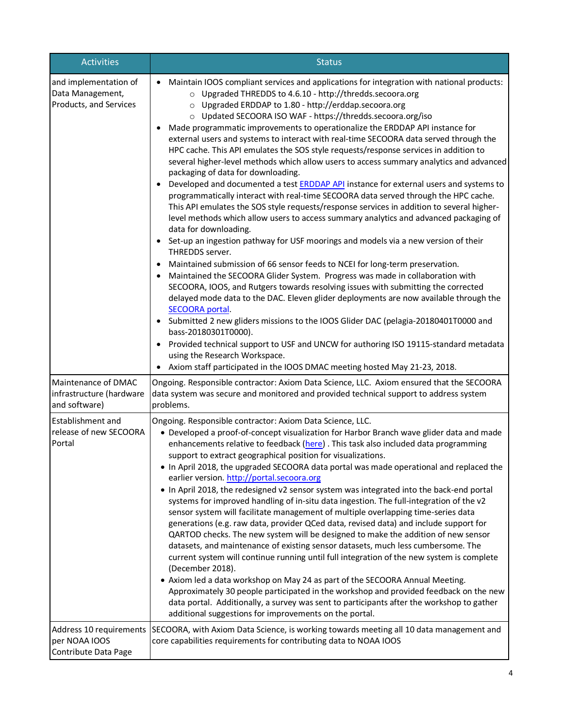| <b>Activities</b>                                                   | <b>Status</b>                                                                                                                                                                                                                                                                                                                                                                                                                                                                                                                                                                                                                                                                                                                                                                                                                                                                                                                                                                                                                                                                                                                                                                                                                                                                                                                                                                                                                                                                                                                                                                                                                                                                                                                                                                                                                                                                                  |
|---------------------------------------------------------------------|------------------------------------------------------------------------------------------------------------------------------------------------------------------------------------------------------------------------------------------------------------------------------------------------------------------------------------------------------------------------------------------------------------------------------------------------------------------------------------------------------------------------------------------------------------------------------------------------------------------------------------------------------------------------------------------------------------------------------------------------------------------------------------------------------------------------------------------------------------------------------------------------------------------------------------------------------------------------------------------------------------------------------------------------------------------------------------------------------------------------------------------------------------------------------------------------------------------------------------------------------------------------------------------------------------------------------------------------------------------------------------------------------------------------------------------------------------------------------------------------------------------------------------------------------------------------------------------------------------------------------------------------------------------------------------------------------------------------------------------------------------------------------------------------------------------------------------------------------------------------------------------------|
| and implementation of<br>Data Management,<br>Products, and Services | Maintain IOOS compliant services and applications for integration with national products:<br>○ Upgraded THREDDS to 4.6.10 - http://thredds.secoora.org<br>o Upgraded ERDDAP to 1.80 - http://erddap.secoora.org<br>o Updated SECOORA ISO WAF - https://thredds.secoora.org/iso<br>Made programmatic improvements to operationalize the ERDDAP API instance for<br>external users and systems to interact with real-time SECOORA data served through the<br>HPC cache. This API emulates the SOS style requests/response services in addition to<br>several higher-level methods which allow users to access summary analytics and advanced<br>packaging of data for downloading.<br>Developed and documented a test <b>ERDDAP API</b> instance for external users and systems to<br>programmatically interact with real-time SECOORA data served through the HPC cache.<br>This API emulates the SOS style requests/response services in addition to several higher-<br>level methods which allow users to access summary analytics and advanced packaging of<br>data for downloading.<br>• Set-up an ingestion pathway for USF moorings and models via a new version of their<br>THREDDS server.<br>Maintained submission of 66 sensor feeds to NCEI for long-term preservation.<br>Maintained the SECOORA Glider System. Progress was made in collaboration with<br>SECOORA, IOOS, and Rutgers towards resolving issues with submitting the corrected<br>delayed mode data to the DAC. Eleven glider deployments are now available through the<br><b>SECOORA portal.</b><br>Submitted 2 new gliders missions to the IOOS Glider DAC (pelagia-20180401T0000 and<br>bass-20180301T0000).<br>Provided technical support to USF and UNCW for authoring ISO 19115-standard metadata<br>using the Research Workspace.<br>Axiom staff participated in the IOOS DMAC meeting hosted May 21-23, 2018. |
| Maintenance of DMAC<br>infrastructure (hardware<br>and software)    | Ongoing. Responsible contractor: Axiom Data Science, LLC. Axiom ensured that the SECOORA<br>data system was secure and monitored and provided technical support to address system<br>problems.                                                                                                                                                                                                                                                                                                                                                                                                                                                                                                                                                                                                                                                                                                                                                                                                                                                                                                                                                                                                                                                                                                                                                                                                                                                                                                                                                                                                                                                                                                                                                                                                                                                                                                 |
| <b>Establishment and</b><br>release of new SECOORA<br>Portal        | Ongoing. Responsible contractor: Axiom Data Science, LLC.<br>• Developed a proof-of-concept visualization for Harbor Branch wave glider data and made<br>enhancements relative to feedback (here). This task also included data programming<br>support to extract geographical position for visualizations.<br>. In April 2018, the upgraded SECOORA data portal was made operational and replaced the<br>earlier version. http://portal.secoora.org<br>. In April 2018, the redesigned v2 sensor system was integrated into the back-end portal<br>systems for improved handling of in-situ data ingestion. The full-integration of the v2<br>sensor system will facilitate management of multiple overlapping time-series data<br>generations (e.g. raw data, provider QCed data, revised data) and include support for<br>QARTOD checks. The new system will be designed to make the addition of new sensor<br>datasets, and maintenance of existing sensor datasets, much less cumbersome. The<br>current system will continue running until full integration of the new system is complete<br>(December 2018).<br>• Axiom led a data workshop on May 24 as part of the SECOORA Annual Meeting.<br>Approximately 30 people participated in the workshop and provided feedback on the new<br>data portal. Additionally, a survey was sent to participants after the workshop to gather<br>additional suggestions for improvements on the portal.                                                                                                                                                                                                                                                                                                                                                                                                                                            |
| per NOAA IOOS<br>Contribute Data Page                               | Address 10 requirements SECOORA, with Axiom Data Science, is working towards meeting all 10 data management and<br>core capabilities requirements for contributing data to NOAA IOOS                                                                                                                                                                                                                                                                                                                                                                                                                                                                                                                                                                                                                                                                                                                                                                                                                                                                                                                                                                                                                                                                                                                                                                                                                                                                                                                                                                                                                                                                                                                                                                                                                                                                                                           |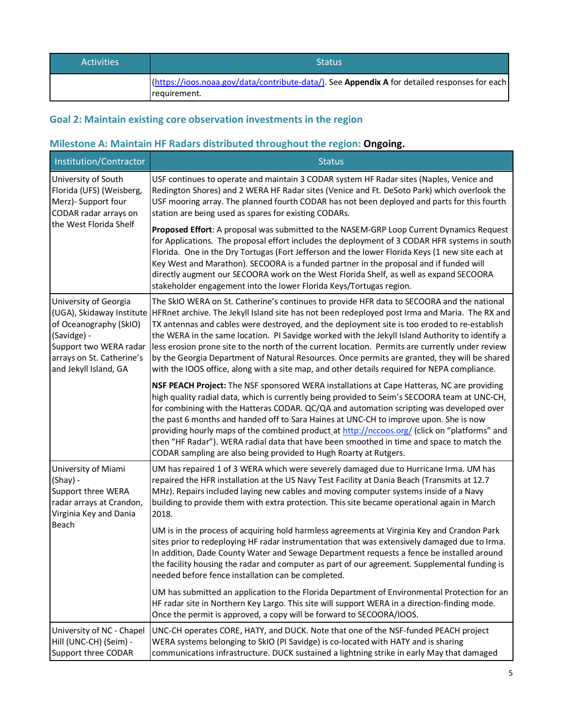| <b>Activities</b> | <b>Status</b>                                                                                                  |
|-------------------|----------------------------------------------------------------------------------------------------------------|
|                   | [(https://ioos.noaa.gov/data/contribute-data/). See Appendix A for detailed responses for each<br>requirement. |

# **Goal 2: Maintain existing core observation investments in the region**

# **Milestone A: Maintain HF Radars distributed throughout the region: Ongoing.**

| Institution/Contractor                                                                                                                                                      | <b>Status</b>                                                                                                                                                                                                                                                                                                                                                                                                                                                                                                                                                                                                                                                                                        |
|-----------------------------------------------------------------------------------------------------------------------------------------------------------------------------|------------------------------------------------------------------------------------------------------------------------------------------------------------------------------------------------------------------------------------------------------------------------------------------------------------------------------------------------------------------------------------------------------------------------------------------------------------------------------------------------------------------------------------------------------------------------------------------------------------------------------------------------------------------------------------------------------|
| University of South<br>Florida (UFS) (Weisberg,<br>Merz)- Support four<br>CODAR radar arrays on<br>the West Florida Shelf                                                   | USF continues to operate and maintain 3 CODAR system HF Radar sites (Naples, Venice and<br>Redington Shores) and 2 WERA HF Radar sites (Venice and Ft. DeSoto Park) which overlook the<br>USF mooring array. The planned fourth CODAR has not been deployed and parts for this fourth<br>station are being used as spares for existing CODARs.                                                                                                                                                                                                                                                                                                                                                       |
|                                                                                                                                                                             | Proposed Effort: A proposal was submitted to the NASEM-GRP Loop Current Dynamics Request<br>for Applications. The proposal effort includes the deployment of 3 CODAR HFR systems in south<br>Florida. One in the Dry Tortugas (Fort Jefferson and the lower Florida Keys (1 new site each at<br>Key West and Marathon). SECOORA is a funded partner in the proposal and if funded will<br>directly augment our SECOORA work on the West Florida Shelf, as well as expand SECOORA<br>stakeholder engagement into the lower Florida Keys/Tortugas region.                                                                                                                                              |
| University of Georgia<br>(UGA), Skidaway Institute<br>of Oceanography (SkIO)<br>(Savidge) -<br>Support two WERA radar<br>arrays on St. Catherine's<br>and Jekyll Island, GA | The SkIO WERA on St. Catherine's continues to provide HFR data to SECOORA and the national<br>HFRnet archive. The Jekyll Island site has not been redeployed post Irma and Maria. The RX and<br>TX antennas and cables were destroyed, and the deployment site is too eroded to re-establish<br>the WERA in the same location. PI Savidge worked with the Jekyll Island Authority to identify a<br>less erosion prone site to the north of the current location. Permits are currently under review<br>by the Georgia Department of Natural Resources. Once permits are granted, they will be shared<br>with the IOOS office, along with a site map, and other details required for NEPA compliance. |
|                                                                                                                                                                             | NSF PEACH Project: The NSF sponsored WERA installations at Cape Hatteras, NC are providing<br>high quality radial data, which is currently being provided to Seim's SECOORA team at UNC-CH,<br>for combining with the Hatteras CODAR. QC/QA and automation scripting was developed over<br>the past 6 months and handed off to Sara Haines at UNC-CH to improve upon. She is now<br>providing hourly maps of the combined product_at http://nccoos.org/ (click on "platforms" and<br>then "HF Radar"). WERA radial data that have been smoothed in time and space to match the<br>CODAR sampling are also being provided to Hugh Roarty at Rutgers.                                                  |
| University of Miami<br>(Shay) -<br>Support three WERA<br>radar arrays at Crandon,<br>Virginia Key and Dania                                                                 | UM has repaired 1 of 3 WERA which were severely damaged due to Hurricane Irma. UM has<br>repaired the HFR installation at the US Navy Test Facility at Dania Beach (Transmits at 12.7<br>MHz). Repairs included laying new cables and moving computer systems inside of a Navy<br>building to provide them with extra protection. This site became operational again in March<br>2018.                                                                                                                                                                                                                                                                                                               |
| Beach                                                                                                                                                                       | UM is in the process of acquiring hold harmless agreements at Virginia Key and Crandon Park<br>sites prior to redeploying HF radar instrumentation that was extensively damaged due to Irma.<br>In addition, Dade County Water and Sewage Department requests a fence be installed around<br>the facility housing the radar and computer as part of our agreement. Supplemental funding is<br>needed before fence installation can be completed.                                                                                                                                                                                                                                                     |
|                                                                                                                                                                             | UM has submitted an application to the Florida Department of Environmental Protection for an<br>HF radar site in Northern Key Largo. This site will support WERA in a direction-finding mode.<br>Once the permit is approved, a copy will be forward to SECOORA/IOOS.                                                                                                                                                                                                                                                                                                                                                                                                                                |
| University of NC - Chapel<br>Hill (UNC-CH) (Seim) -<br>Support three CODAR                                                                                                  | UNC-CH operates CORE, HATY, and DUCK. Note that one of the NSF-funded PEACH project<br>WERA systems belonging to SkIO (PI Savidge) is co-located with HATY and is sharing<br>communications infrastructure. DUCK sustained a lightning strike in early May that damaged                                                                                                                                                                                                                                                                                                                                                                                                                              |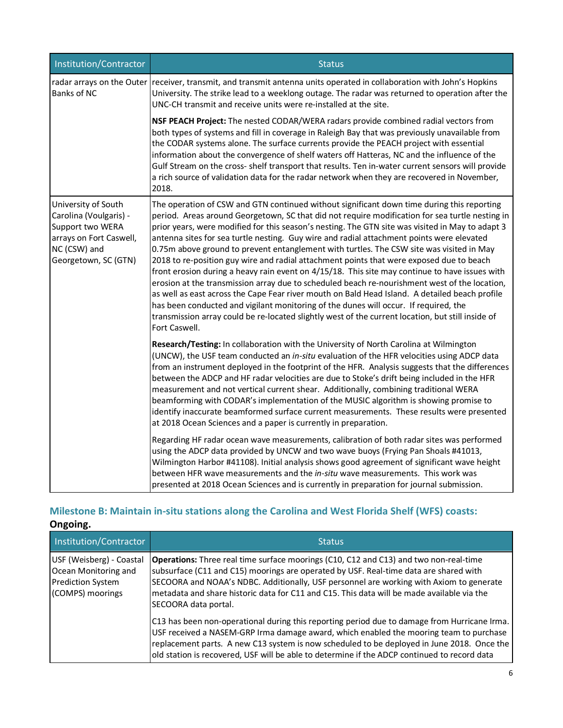| Institution/Contractor                                                                                                               | <b>Status</b>                                                                                                                                                                                                                                                                                                                                                                                                                                                                                                                                                                                                                                                                                                                                                                                                                                                                                                                                                                                                                                                                                             |  |  |  |
|--------------------------------------------------------------------------------------------------------------------------------------|-----------------------------------------------------------------------------------------------------------------------------------------------------------------------------------------------------------------------------------------------------------------------------------------------------------------------------------------------------------------------------------------------------------------------------------------------------------------------------------------------------------------------------------------------------------------------------------------------------------------------------------------------------------------------------------------------------------------------------------------------------------------------------------------------------------------------------------------------------------------------------------------------------------------------------------------------------------------------------------------------------------------------------------------------------------------------------------------------------------|--|--|--|
| <b>Banks of NC</b>                                                                                                                   | radar arrays on the Outer receiver, transmit, and transmit antenna units operated in collaboration with John's Hopkins<br>University. The strike lead to a weeklong outage. The radar was returned to operation after the<br>UNC-CH transmit and receive units were re-installed at the site.                                                                                                                                                                                                                                                                                                                                                                                                                                                                                                                                                                                                                                                                                                                                                                                                             |  |  |  |
|                                                                                                                                      | NSF PEACH Project: The nested CODAR/WERA radars provide combined radial vectors from<br>both types of systems and fill in coverage in Raleigh Bay that was previously unavailable from<br>the CODAR systems alone. The surface currents provide the PEACH project with essential<br>information about the convergence of shelf waters off Hatteras, NC and the influence of the<br>Gulf Stream on the cross- shelf transport that results. Ten in-water current sensors will provide<br>a rich source of validation data for the radar network when they are recovered in November,<br>2018.                                                                                                                                                                                                                                                                                                                                                                                                                                                                                                              |  |  |  |
| University of South<br>Carolina (Voulgaris) -<br>Support two WERA<br>arrays on Fort Caswell,<br>NC (CSW) and<br>Georgetown, SC (GTN) | The operation of CSW and GTN continued without significant down time during this reporting<br>period. Areas around Georgetown, SC that did not require modification for sea turtle nesting in<br>prior years, were modified for this season's nesting. The GTN site was visited in May to adapt 3<br>antenna sites for sea turtle nesting. Guy wire and radial attachment points were elevated<br>0.75m above ground to prevent entanglement with turtles. The CSW site was visited in May<br>2018 to re-position guy wire and radial attachment points that were exposed due to beach<br>front erosion during a heavy rain event on 4/15/18. This site may continue to have issues with<br>erosion at the transmission array due to scheduled beach re-nourishment west of the location,<br>as well as east across the Cape Fear river mouth on Bald Head Island. A detailed beach profile<br>has been conducted and vigilant monitoring of the dunes will occur. If required, the<br>transmission array could be re-located slightly west of the current location, but still inside of<br>Fort Caswell. |  |  |  |
|                                                                                                                                      | Research/Testing: In collaboration with the University of North Carolina at Wilmington<br>(UNCW), the USF team conducted an in-situ evaluation of the HFR velocities using ADCP data<br>from an instrument deployed in the footprint of the HFR. Analysis suggests that the differences<br>between the ADCP and HF radar velocities are due to Stoke's drift being included in the HFR<br>measurement and not vertical current shear. Additionally, combining traditional WERA<br>beamforming with CODAR's implementation of the MUSIC algorithm is showing promise to<br>identify inaccurate beamformed surface current measurements. These results were presented<br>at 2018 Ocean Sciences and a paper is currently in preparation.                                                                                                                                                                                                                                                                                                                                                                    |  |  |  |
|                                                                                                                                      | Regarding HF radar ocean wave measurements, calibration of both radar sites was performed<br>using the ADCP data provided by UNCW and two wave buoys (Frying Pan Shoals #41013,<br>Wilmington Harbor #41108). Initial analysis shows good agreement of significant wave height<br>between HFR wave measurements and the in-situ wave measurements. This work was<br>presented at 2018 Ocean Sciences and is currently in preparation for journal submission.                                                                                                                                                                                                                                                                                                                                                                                                                                                                                                                                                                                                                                              |  |  |  |

## **Milestone B: Maintain in-situ stations along the Carolina and West Florida Shelf (WFS) coasts: Ongoing.**

| Ongoing.                                                                                  |                                                                                                                                                                                                                                                                                                                                                                                                        |
|-------------------------------------------------------------------------------------------|--------------------------------------------------------------------------------------------------------------------------------------------------------------------------------------------------------------------------------------------------------------------------------------------------------------------------------------------------------------------------------------------------------|
| Institution/Contractor                                                                    | <b>Status</b>                                                                                                                                                                                                                                                                                                                                                                                          |
| USF (Weisberg) - Coastal<br>Ocean Monitoring and<br>Prediction System<br>(COMPS) moorings | <b>Operations:</b> Three real time surface moorings (C10, C12 and C13) and two non-real-time<br>subsurface (C11 and C15) moorings are operated by USF. Real-time data are shared with<br>SECOORA and NOAA's NDBC. Additionally, USF personnel are working with Axiom to generate<br>metadata and share historic data for C11 and C15. This data will be made available via the<br>SECOORA data portal. |
|                                                                                           | C13 has been non-operational during this reporting period due to damage from Hurricane Irma.<br>USF received a NASEM-GRP Irma damage award, which enabled the mooring team to purchase<br>replacement parts. A new C13 system is now scheduled to be deployed in June 2018. Once the<br>old station is recovered, USF will be able to determine if the ADCP continued to record data                   |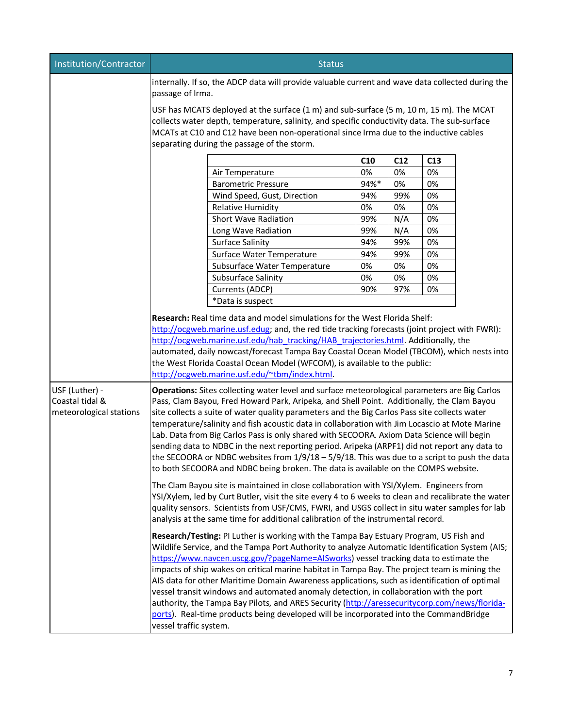| Institution/Contractor  | <b>Status</b>                                                                                                                                                                                                                                                                                                                   |                                                                                                                                                                                            |      |     |    |  |  |  |  |
|-------------------------|---------------------------------------------------------------------------------------------------------------------------------------------------------------------------------------------------------------------------------------------------------------------------------------------------------------------------------|--------------------------------------------------------------------------------------------------------------------------------------------------------------------------------------------|------|-----|----|--|--|--|--|
|                         | internally. If so, the ADCP data will provide valuable current and wave data collected during the<br>passage of Irma.                                                                                                                                                                                                           |                                                                                                                                                                                            |      |     |    |  |  |  |  |
|                         | USF has MCATS deployed at the surface (1 m) and sub-surface (5 m, 10 m, 15 m). The MCAT<br>collects water depth, temperature, salinity, and specific conductivity data. The sub-surface<br>MCATs at C10 and C12 have been non-operational since Irma due to the inductive cables<br>separating during the passage of the storm. |                                                                                                                                                                                            |      |     |    |  |  |  |  |
|                         | C10<br>C12<br>C13                                                                                                                                                                                                                                                                                                               |                                                                                                                                                                                            |      |     |    |  |  |  |  |
|                         |                                                                                                                                                                                                                                                                                                                                 | Air Temperature                                                                                                                                                                            | 0%   | 0%  | 0% |  |  |  |  |
|                         |                                                                                                                                                                                                                                                                                                                                 | <b>Barometric Pressure</b>                                                                                                                                                                 | 94%* | 0%  | 0% |  |  |  |  |
|                         |                                                                                                                                                                                                                                                                                                                                 | Wind Speed, Gust, Direction                                                                                                                                                                | 94%  | 99% | 0% |  |  |  |  |
|                         |                                                                                                                                                                                                                                                                                                                                 | <b>Relative Humidity</b>                                                                                                                                                                   | 0%   | 0%  | 0% |  |  |  |  |
|                         |                                                                                                                                                                                                                                                                                                                                 | Short Wave Radiation                                                                                                                                                                       | 99%  | N/A | 0% |  |  |  |  |
|                         |                                                                                                                                                                                                                                                                                                                                 | Long Wave Radiation                                                                                                                                                                        | 99%  | N/A | 0% |  |  |  |  |
|                         |                                                                                                                                                                                                                                                                                                                                 | <b>Surface Salinity</b>                                                                                                                                                                    | 94%  | 99% | 0% |  |  |  |  |
|                         |                                                                                                                                                                                                                                                                                                                                 | Surface Water Temperature                                                                                                                                                                  | 94%  | 99% | 0% |  |  |  |  |
|                         |                                                                                                                                                                                                                                                                                                                                 | Subsurface Water Temperature                                                                                                                                                               | 0%   | 0%  | 0% |  |  |  |  |
|                         |                                                                                                                                                                                                                                                                                                                                 | Subsurface Salinity                                                                                                                                                                        | 0%   | 0%  | 0% |  |  |  |  |
|                         |                                                                                                                                                                                                                                                                                                                                 | Currents (ADCP)                                                                                                                                                                            | 90%  | 97% | 0% |  |  |  |  |
|                         |                                                                                                                                                                                                                                                                                                                                 | *Data is suspect                                                                                                                                                                           |      |     |    |  |  |  |  |
|                         |                                                                                                                                                                                                                                                                                                                                 | Research: Real time data and model simulations for the West Florida Shelf:                                                                                                                 |      |     |    |  |  |  |  |
|                         |                                                                                                                                                                                                                                                                                                                                 | http://ocgweb.marine.usf.edug; and, the red tide tracking forecasts (joint project with FWRI):                                                                                             |      |     |    |  |  |  |  |
|                         |                                                                                                                                                                                                                                                                                                                                 | http://ocgweb.marine.usf.edu/hab_tracking/HAB_trajectories.html. Additionally, the                                                                                                         |      |     |    |  |  |  |  |
|                         |                                                                                                                                                                                                                                                                                                                                 | automated, daily nowcast/forecast Tampa Bay Coastal Ocean Model (TBCOM), which nests into                                                                                                  |      |     |    |  |  |  |  |
|                         |                                                                                                                                                                                                                                                                                                                                 | the West Florida Coastal Ocean Model (WFCOM), is available to the public:                                                                                                                  |      |     |    |  |  |  |  |
|                         |                                                                                                                                                                                                                                                                                                                                 | http://ocgweb.marine.usf.edu/~tbm/index.html.                                                                                                                                              |      |     |    |  |  |  |  |
| USF (Luther) -          |                                                                                                                                                                                                                                                                                                                                 | Operations: Sites collecting water level and surface meteorological parameters are Big Carlos                                                                                              |      |     |    |  |  |  |  |
| Coastal tidal &         |                                                                                                                                                                                                                                                                                                                                 | Pass, Clam Bayou, Fred Howard Park, Aripeka, and Shell Point. Additionally, the Clam Bayou                                                                                                 |      |     |    |  |  |  |  |
| meteorological stations |                                                                                                                                                                                                                                                                                                                                 | site collects a suite of water quality parameters and the Big Carlos Pass site collects water                                                                                              |      |     |    |  |  |  |  |
|                         |                                                                                                                                                                                                                                                                                                                                 | temperature/salinity and fish acoustic data in collaboration with Jim Locascio at Mote Marine                                                                                              |      |     |    |  |  |  |  |
|                         |                                                                                                                                                                                                                                                                                                                                 | Lab. Data from Big Carlos Pass is only shared with SECOORA. Axiom Data Science will begin<br>sending data to NDBC in the next reporting period. Aripeka (ARPF1) did not report any data to |      |     |    |  |  |  |  |
|                         |                                                                                                                                                                                                                                                                                                                                 | the SECOORA or NDBC websites from $1/9/18 - 5/9/18$ . This was due to a script to push the data                                                                                            |      |     |    |  |  |  |  |
|                         |                                                                                                                                                                                                                                                                                                                                 | to both SECOORA and NDBC being broken. The data is available on the COMPS website.                                                                                                         |      |     |    |  |  |  |  |
|                         |                                                                                                                                                                                                                                                                                                                                 |                                                                                                                                                                                            |      |     |    |  |  |  |  |
|                         |                                                                                                                                                                                                                                                                                                                                 | The Clam Bayou site is maintained in close collaboration with YSI/Xylem. Engineers from                                                                                                    |      |     |    |  |  |  |  |
|                         |                                                                                                                                                                                                                                                                                                                                 | YSI/Xylem, led by Curt Butler, visit the site every 4 to 6 weeks to clean and recalibrate the water                                                                                        |      |     |    |  |  |  |  |
|                         |                                                                                                                                                                                                                                                                                                                                 | quality sensors. Scientists from USF/CMS, FWRI, and USGS collect in situ water samples for lab<br>analysis at the same time for additional calibration of the instrumental record.         |      |     |    |  |  |  |  |
|                         |                                                                                                                                                                                                                                                                                                                                 |                                                                                                                                                                                            |      |     |    |  |  |  |  |
|                         |                                                                                                                                                                                                                                                                                                                                 | Research/Testing: PI Luther is working with the Tampa Bay Estuary Program, US Fish and                                                                                                     |      |     |    |  |  |  |  |
|                         |                                                                                                                                                                                                                                                                                                                                 | Wildlife Service, and the Tampa Port Authority to analyze Automatic Identification System (AIS;                                                                                            |      |     |    |  |  |  |  |
|                         |                                                                                                                                                                                                                                                                                                                                 | https://www.navcen.uscg.gov/?pageName=AISworks) vessel tracking data to estimate the<br>impacts of ship wakes on critical marine habitat in Tampa Bay. The project team is mining the      |      |     |    |  |  |  |  |
|                         |                                                                                                                                                                                                                                                                                                                                 | AIS data for other Maritime Domain Awareness applications, such as identification of optimal                                                                                               |      |     |    |  |  |  |  |
|                         |                                                                                                                                                                                                                                                                                                                                 |                                                                                                                                                                                            |      |     |    |  |  |  |  |
|                         | vessel transit windows and automated anomaly detection, in collaboration with the port<br>authority, the Tampa Bay Pilots, and ARES Security (http://aressecuritycorp.com/news/florida-                                                                                                                                         |                                                                                                                                                                                            |      |     |    |  |  |  |  |
|                         | ports). Real-time products being developed will be incorporated into the CommandBridge                                                                                                                                                                                                                                          |                                                                                                                                                                                            |      |     |    |  |  |  |  |
|                         | vessel traffic system.                                                                                                                                                                                                                                                                                                          |                                                                                                                                                                                            |      |     |    |  |  |  |  |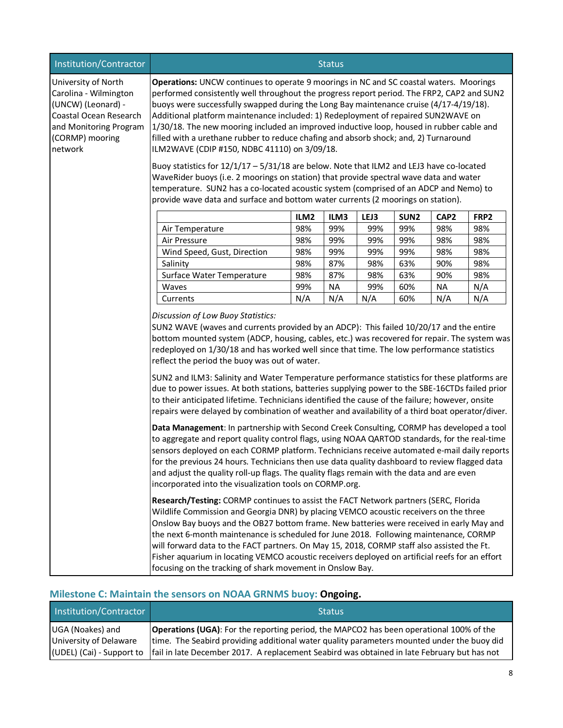| <b>Institution/Contractor</b>                                                                                                                        | <b>Status</b>                                                                                                                                                                                                                                                                                                                                                                                                                                                                                                                                                                                                                                                                                                                                                                                                                                                                                                                                                              |                  |      |      |                  |                  |      |  |
|------------------------------------------------------------------------------------------------------------------------------------------------------|----------------------------------------------------------------------------------------------------------------------------------------------------------------------------------------------------------------------------------------------------------------------------------------------------------------------------------------------------------------------------------------------------------------------------------------------------------------------------------------------------------------------------------------------------------------------------------------------------------------------------------------------------------------------------------------------------------------------------------------------------------------------------------------------------------------------------------------------------------------------------------------------------------------------------------------------------------------------------|------------------|------|------|------------------|------------------|------|--|
| University of North<br>Carolina - Wilmington<br>(UNCW) (Leonard) -<br>Coastal Ocean Research<br>and Monitoring Program<br>(CORMP) mooring<br>network | Operations: UNCW continues to operate 9 moorings in NC and SC coastal waters. Moorings<br>performed consistently well throughout the progress report period. The FRP2, CAP2 and SUN2<br>buoys were successfully swapped during the Long Bay maintenance cruise (4/17-4/19/18).<br>Additional platform maintenance included: 1) Redeployment of repaired SUN2WAVE on<br>1/30/18. The new mooring included an improved inductive loop, housed in rubber cable and<br>filled with a urethane rubber to reduce chafing and absorb shock; and, 2) Turnaround<br>ILM2WAVE (CDIP #150, NDBC 41110) on 3/09/18.<br>Buoy statistics for 12/1/17 - 5/31/18 are below. Note that ILM2 and LEJ3 have co-located<br>WaveRider buoys (i.e. 2 moorings on station) that provide spectral wave data and water<br>temperature. SUN2 has a co-located acoustic system (comprised of an ADCP and Nemo) to<br>provide wave data and surface and bottom water currents (2 moorings on station). |                  |      |      |                  |                  |      |  |
|                                                                                                                                                      |                                                                                                                                                                                                                                                                                                                                                                                                                                                                                                                                                                                                                                                                                                                                                                                                                                                                                                                                                                            | ILM <sub>2</sub> | ILM3 | LEJ3 | SUN <sub>2</sub> | CAP <sub>2</sub> | FRP2 |  |
|                                                                                                                                                      | Air Temperature                                                                                                                                                                                                                                                                                                                                                                                                                                                                                                                                                                                                                                                                                                                                                                                                                                                                                                                                                            | 98%              | 99%  | 99%  | 99%              | 98%              | 98%  |  |
|                                                                                                                                                      | Air Pressure                                                                                                                                                                                                                                                                                                                                                                                                                                                                                                                                                                                                                                                                                                                                                                                                                                                                                                                                                               | 98%              | 99%  | 99%  | 99%              | 98%              | 98%  |  |
|                                                                                                                                                      | Wind Speed, Gust, Direction                                                                                                                                                                                                                                                                                                                                                                                                                                                                                                                                                                                                                                                                                                                                                                                                                                                                                                                                                | 98%              | 99%  | 99%  | 99%              | 98%              | 98%  |  |
|                                                                                                                                                      | Salinity                                                                                                                                                                                                                                                                                                                                                                                                                                                                                                                                                                                                                                                                                                                                                                                                                                                                                                                                                                   | 98%              | 87%  | 98%  | 63%              | 90%              | 98%  |  |
|                                                                                                                                                      | Surface Water Temperature                                                                                                                                                                                                                                                                                                                                                                                                                                                                                                                                                                                                                                                                                                                                                                                                                                                                                                                                                  | 98%              | 87%  | 98%  | 63%              | 90%              | 98%  |  |
|                                                                                                                                                      | Waves                                                                                                                                                                                                                                                                                                                                                                                                                                                                                                                                                                                                                                                                                                                                                                                                                                                                                                                                                                      | 99%              | NA   | 99%  | 60%              | NA               | N/A  |  |
|                                                                                                                                                      | Currents                                                                                                                                                                                                                                                                                                                                                                                                                                                                                                                                                                                                                                                                                                                                                                                                                                                                                                                                                                   | N/A              | N/A  | N/A  | 60%              | N/A              | N/A  |  |
|                                                                                                                                                      | Discussion of Low Buoy Statistics:<br>SUN2 WAVE (waves and currents provided by an ADCP): This failed 10/20/17 and the entire<br>bottom mounted system (ADCP, housing, cables, etc.) was recovered for repair. The system was<br>redeployed on 1/30/18 and has worked well since that time. The low performance statistics<br>reflect the period the buoy was out of water.<br>SUN2 and ILM3: Salinity and Water Temperature performance statistics for these platforms are<br>due to power issues. At both stations, batteries supplying power to the SBE-16CTDs failed prior<br>to their anticipated lifetime. Technicians identified the cause of the failure; however, onsite<br>repairs were delayed by combination of weather and availability of a third boat operator/diver.                                                                                                                                                                                       |                  |      |      |                  |                  |      |  |
|                                                                                                                                                      | Data Management: In partnership with Second Creek Consulting, CORMP has developed a tool<br>to aggregate and report quality control flags, using NOAA QARTOD standards, for the real-time<br>sensors deployed on each CORMP platform. Technicians receive automated e-mail daily reports<br>for the previous 24 hours. Technicians then use data quality dashboard to review flagged data<br>and adjust the quality roll-up flags. The quality flags remain with the data and are even<br>incorporated into the visualization tools on CORMP.org.<br>Research/Testing: CORMP continues to assist the FACT Network partners (SERC, Florida                                                                                                                                                                                                                                                                                                                                  |                  |      |      |                  |                  |      |  |
|                                                                                                                                                      | Wildlife Commission and Georgia DNR) by placing VEMCO acoustic receivers on the three<br>Onslow Bay buoys and the OB27 bottom frame. New batteries were received in early May and<br>the next 6-month maintenance is scheduled for June 2018. Following maintenance, CORMP<br>will forward data to the FACT partners. On May 15, 2018, CORMP staff also assisted the Ft.<br>Fisher aquarium in locating VEMCO acoustic receivers deployed on artificial reefs for an effort<br>focusing on the tracking of shark movement in Onslow Bay.                                                                                                                                                                                                                                                                                                                                                                                                                                   |                  |      |      |                  |                  |      |  |

# **Milestone C: Maintain the sensors on NOAA GRNMS buoy: Ongoing.**

| Institution/Contractor                     | <b>Status</b>                                                                                                                                                                                                                                                                                                           |
|--------------------------------------------|-------------------------------------------------------------------------------------------------------------------------------------------------------------------------------------------------------------------------------------------------------------------------------------------------------------------------|
| UGA (Noakes) and<br>University of Delaware | <b>Operations (UGA):</b> For the reporting period, the MAPCO2 has been operational 100% of the<br>time. The Seabird providing additional water quality parameters mounted under the buoy did<br>(UDEL) (Cai) - Support to   fail in late December 2017. A replacement Seabird was obtained in late February but has not |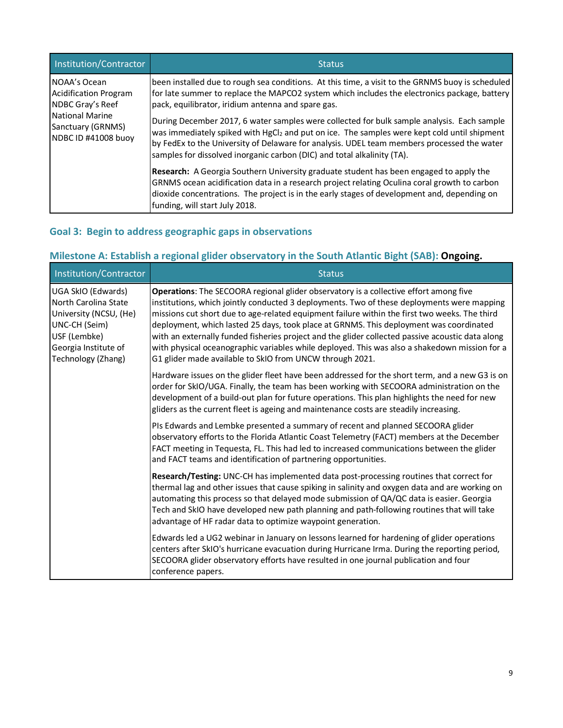| Institution/Contractor                                                                                                          | <b>Status</b>                                                                                                                                                                                                                                                                                                                                                                  |
|---------------------------------------------------------------------------------------------------------------------------------|--------------------------------------------------------------------------------------------------------------------------------------------------------------------------------------------------------------------------------------------------------------------------------------------------------------------------------------------------------------------------------|
| NOAA's Ocean<br><b>Acidification Program</b><br>NDBC Gray's Reef<br>National Marine<br>Sanctuary (GRNMS)<br>NDBC ID #41008 buoy | been installed due to rough sea conditions. At this time, a visit to the GRNMS buoy is scheduled<br>for late summer to replace the MAPCO2 system which includes the electronics package, battery<br>pack, equilibrator, iridium antenna and spare gas.                                                                                                                         |
|                                                                                                                                 | During December 2017, 6 water samples were collected for bulk sample analysis. Each sample<br>was immediately spiked with HgCl <sub>2</sub> and put on ice. The samples were kept cold until shipment<br>by FedEx to the University of Delaware for analysis. UDEL team members processed the water<br>samples for dissolved inorganic carbon (DIC) and total alkalinity (TA). |
|                                                                                                                                 | <b>Research:</b> A Georgia Southern University graduate student has been engaged to apply the<br>GRNMS ocean acidification data in a research project relating Oculina coral growth to carbon<br>dioxide concentrations. The project is in the early stages of development and, depending on<br>funding, will start July 2018.                                                 |

## **Goal 3: Begin to address geographic gaps in observations**

# **Milestone A: Establish a regional glider observatory in the South Atlantic Bight (SAB): Ongoing.**

| Institution/Contractor                                                                                                                              | <b>Status</b>                                                                                                                                                                                                                                                                                                                                                                                                                                                                                                                                                                                                                                   |
|-----------------------------------------------------------------------------------------------------------------------------------------------------|-------------------------------------------------------------------------------------------------------------------------------------------------------------------------------------------------------------------------------------------------------------------------------------------------------------------------------------------------------------------------------------------------------------------------------------------------------------------------------------------------------------------------------------------------------------------------------------------------------------------------------------------------|
| UGA SkIO (Edwards)<br>North Carolina State<br>University (NCSU, (He)<br>UNC-CH (Seim)<br>USF (Lembke)<br>Georgia Institute of<br>Technology (Zhang) | Operations: The SECOORA regional glider observatory is a collective effort among five<br>institutions, which jointly conducted 3 deployments. Two of these deployments were mapping<br>missions cut short due to age-related equipment failure within the first two weeks. The third<br>deployment, which lasted 25 days, took place at GRNMS. This deployment was coordinated<br>with an externally funded fisheries project and the glider collected passive acoustic data along<br>with physical oceanographic variables while deployed. This was also a shakedown mission for a<br>G1 glider made available to SkIO from UNCW through 2021. |
|                                                                                                                                                     | Hardware issues on the glider fleet have been addressed for the short term, and a new G3 is on<br>order for SkIO/UGA. Finally, the team has been working with SECOORA administration on the<br>development of a build-out plan for future operations. This plan highlights the need for new<br>gliders as the current fleet is ageing and maintenance costs are steadily increasing.                                                                                                                                                                                                                                                            |
|                                                                                                                                                     | PIs Edwards and Lembke presented a summary of recent and planned SECOORA glider<br>observatory efforts to the Florida Atlantic Coast Telemetry (FACT) members at the December<br>FACT meeting in Tequesta, FL. This had led to increased communications between the glider<br>and FACT teams and identification of partnering opportunities.                                                                                                                                                                                                                                                                                                    |
|                                                                                                                                                     | Research/Testing: UNC-CH has implemented data post-processing routines that correct for<br>thermal lag and other issues that cause spiking in salinity and oxygen data and are working on<br>automating this process so that delayed mode submission of QA/QC data is easier. Georgia<br>Tech and SkIO have developed new path planning and path-following routines that will take<br>advantage of HF radar data to optimize waypoint generation.                                                                                                                                                                                               |
|                                                                                                                                                     | Edwards led a UG2 webinar in January on lessons learned for hardening of glider operations<br>centers after SkIO's hurricane evacuation during Hurricane Irma. During the reporting period,<br>SECOORA glider observatory efforts have resulted in one journal publication and four<br>conference papers.                                                                                                                                                                                                                                                                                                                                       |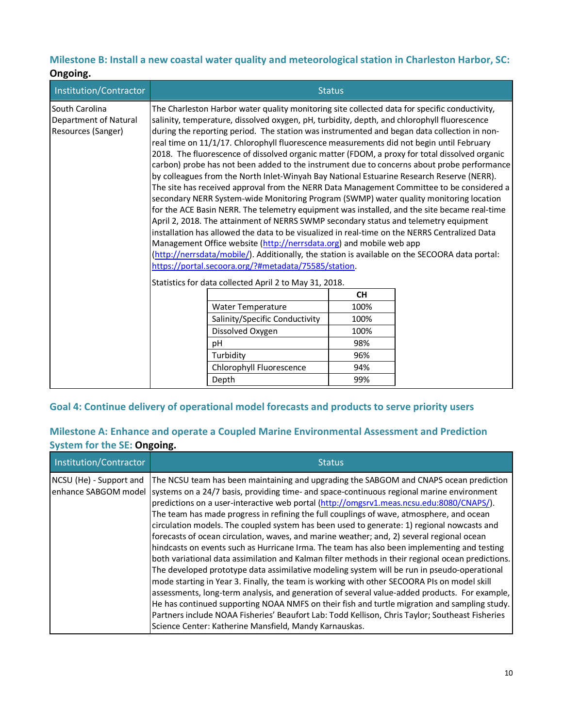## **Milestone B: Install a new coastal water quality and meteorological station in Charleston Harbor, SC:**

| Ongoing.                                                      |                                                                                                                                                                                                                                                                                                                                                                                                                                                                                                                                                                                                                                                                                                                                                                                                                                                                                                                                                                                                                                                                                                                                                                                                                                                                                                                                                                                                      |                                                        |               |  |
|---------------------------------------------------------------|------------------------------------------------------------------------------------------------------------------------------------------------------------------------------------------------------------------------------------------------------------------------------------------------------------------------------------------------------------------------------------------------------------------------------------------------------------------------------------------------------------------------------------------------------------------------------------------------------------------------------------------------------------------------------------------------------------------------------------------------------------------------------------------------------------------------------------------------------------------------------------------------------------------------------------------------------------------------------------------------------------------------------------------------------------------------------------------------------------------------------------------------------------------------------------------------------------------------------------------------------------------------------------------------------------------------------------------------------------------------------------------------------|--------------------------------------------------------|---------------|--|
| Institution/Contractor                                        |                                                                                                                                                                                                                                                                                                                                                                                                                                                                                                                                                                                                                                                                                                                                                                                                                                                                                                                                                                                                                                                                                                                                                                                                                                                                                                                                                                                                      |                                                        | <b>Status</b> |  |
| South Carolina<br>Department of Natural<br>Resources (Sanger) | The Charleston Harbor water quality monitoring site collected data for specific conductivity,<br>salinity, temperature, dissolved oxygen, pH, turbidity, depth, and chlorophyll fluorescence<br>during the reporting period. The station was instrumented and began data collection in non-<br>real time on 11/1/17. Chlorophyll fluorescence measurements did not begin until February<br>2018. The fluorescence of dissolved organic matter (FDOM, a proxy for total dissolved organic<br>carbon) probe has not been added to the instrument due to concerns about probe performance<br>by colleagues from the North Inlet-Winyah Bay National Estuarine Research Reserve (NERR).<br>The site has received approval from the NERR Data Management Committee to be considered a<br>secondary NERR System-wide Monitoring Program (SWMP) water quality monitoring location<br>for the ACE Basin NERR. The telemetry equipment was installed, and the site became real-time<br>April 2, 2018. The attainment of NERRS SWMP secondary status and telemetry equipment<br>installation has allowed the data to be visualized in real-time on the NERRS Centralized Data<br>Management Office website (http://nerrsdata.org) and mobile web app<br>(http://nerrsdata/mobile/). Additionally, the station is available on the SECOORA data portal:<br>https://portal.secoora.org/?#metadata/75585/station. |                                                        |               |  |
|                                                               |                                                                                                                                                                                                                                                                                                                                                                                                                                                                                                                                                                                                                                                                                                                                                                                                                                                                                                                                                                                                                                                                                                                                                                                                                                                                                                                                                                                                      | Statistics for data collected April 2 to May 31, 2018. | <b>CH</b>     |  |
|                                                               |                                                                                                                                                                                                                                                                                                                                                                                                                                                                                                                                                                                                                                                                                                                                                                                                                                                                                                                                                                                                                                                                                                                                                                                                                                                                                                                                                                                                      | <b>Water Temperature</b>                               | 100%          |  |
|                                                               |                                                                                                                                                                                                                                                                                                                                                                                                                                                                                                                                                                                                                                                                                                                                                                                                                                                                                                                                                                                                                                                                                                                                                                                                                                                                                                                                                                                                      | Salinity/Specific Conductivity                         | 100%          |  |
|                                                               |                                                                                                                                                                                                                                                                                                                                                                                                                                                                                                                                                                                                                                                                                                                                                                                                                                                                                                                                                                                                                                                                                                                                                                                                                                                                                                                                                                                                      | Dissolved Oxygen                                       | 100%          |  |
|                                                               |                                                                                                                                                                                                                                                                                                                                                                                                                                                                                                                                                                                                                                                                                                                                                                                                                                                                                                                                                                                                                                                                                                                                                                                                                                                                                                                                                                                                      | pH                                                     | 98%           |  |
|                                                               |                                                                                                                                                                                                                                                                                                                                                                                                                                                                                                                                                                                                                                                                                                                                                                                                                                                                                                                                                                                                                                                                                                                                                                                                                                                                                                                                                                                                      | Turbidity                                              | 96%           |  |
|                                                               |                                                                                                                                                                                                                                                                                                                                                                                                                                                                                                                                                                                                                                                                                                                                                                                                                                                                                                                                                                                                                                                                                                                                                                                                                                                                                                                                                                                                      | Chlorophyll Fluorescence                               | 94%           |  |
|                                                               |                                                                                                                                                                                                                                                                                                                                                                                                                                                                                                                                                                                                                                                                                                                                                                                                                                                                                                                                                                                                                                                                                                                                                                                                                                                                                                                                                                                                      | Depth                                                  | 99%           |  |

## **Goal 4: Continue delivery of operational model forecasts and products to serve priority users**

## **Milestone A: Enhance and operate a Coupled Marine Environmental Assessment and Prediction System for the SE: Ongoing.**

| Institution/Contractor  | <b>Status</b>                                                                                                                                                                                                                                                                                                                                                                                                                                                                                                                                                                                                                                                                                                                                                                                                                                                                                                                                                                                                                                                                                                                                                                                                                                                                                                                                               |
|-------------------------|-------------------------------------------------------------------------------------------------------------------------------------------------------------------------------------------------------------------------------------------------------------------------------------------------------------------------------------------------------------------------------------------------------------------------------------------------------------------------------------------------------------------------------------------------------------------------------------------------------------------------------------------------------------------------------------------------------------------------------------------------------------------------------------------------------------------------------------------------------------------------------------------------------------------------------------------------------------------------------------------------------------------------------------------------------------------------------------------------------------------------------------------------------------------------------------------------------------------------------------------------------------------------------------------------------------------------------------------------------------|
| NCSU (He) - Support and | The NCSU team has been maintaining and upgrading the SABGOM and CNAPS ocean prediction<br>enhance SABGOM model systems on a 24/7 basis, providing time- and space-continuous regional marine environment<br>predictions on a user-interactive web portal (http://omgsrv1.meas.ncsu.edu:8080/CNAPS/).<br>The team has made progress in refining the full couplings of wave, atmosphere, and ocean<br>circulation models. The coupled system has been used to generate: 1) regional nowcasts and<br>forecasts of ocean circulation, waves, and marine weather; and, 2) several regional ocean<br>hindcasts on events such as Hurricane Irma. The team has also been implementing and testing<br>both variational data assimilation and Kalman filter methods in their regional ocean predictions.<br>The developed prototype data assimilative modeling system will be run in pseudo-operational<br>mode starting in Year 3. Finally, the team is working with other SECOORA PIs on model skill<br>assessments, long-term analysis, and generation of several value-added products. For example,<br>He has continued supporting NOAA NMFS on their fish and turtle migration and sampling study.<br>Partners include NOAA Fisheries' Beaufort Lab: Todd Kellison, Chris Taylor; Southeast Fisheries<br>Science Center: Katherine Mansfield, Mandy Karnauskas. |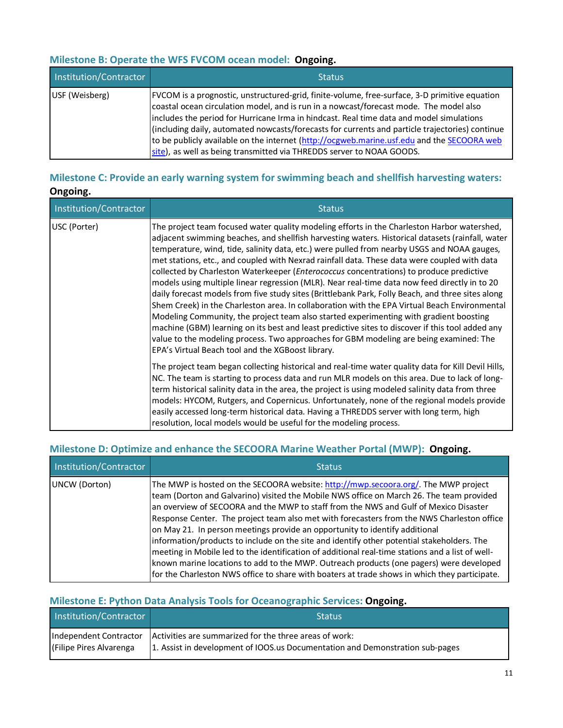## **Milestone B: Operate the WFS FVCOM ocean model: Ongoing.**

| Institution/Contractor | <b>Status</b>                                                                                                                                                                                                                                                                                                                                                                                                                                                                                                                                                 |
|------------------------|---------------------------------------------------------------------------------------------------------------------------------------------------------------------------------------------------------------------------------------------------------------------------------------------------------------------------------------------------------------------------------------------------------------------------------------------------------------------------------------------------------------------------------------------------------------|
| USF (Weisberg)         | FVCOM is a prognostic, unstructured-grid, finite-volume, free-surface, 3-D primitive equation<br>coastal ocean circulation model, and is run in a nowcast/forecast mode. The model also<br>includes the period for Hurricane Irma in hindcast. Real time data and model simulations<br>(including daily, automated nowcasts/forecasts for currents and particle trajectories) continue<br>to be publicly available on the internet (http://ocgweb.marine.usf.edu and the SECOORA web<br>site), as well as being transmitted via THREDDS server to NOAA GOODS. |

## **Milestone C: Provide an early warning system for swimming beach and shellfish harvesting waters: Ongoing.**

| Institution/Contractor | <b>Status</b>                                                                                                                                                                                                                                                                                                                                                                                                                                                                                                                                                                                                                                                                                                                                                                                                                                                                                                                                                                                                                                                                                                                                 |
|------------------------|-----------------------------------------------------------------------------------------------------------------------------------------------------------------------------------------------------------------------------------------------------------------------------------------------------------------------------------------------------------------------------------------------------------------------------------------------------------------------------------------------------------------------------------------------------------------------------------------------------------------------------------------------------------------------------------------------------------------------------------------------------------------------------------------------------------------------------------------------------------------------------------------------------------------------------------------------------------------------------------------------------------------------------------------------------------------------------------------------------------------------------------------------|
| USC (Porter)           | The project team focused water quality modeling efforts in the Charleston Harbor watershed,<br>adjacent swimming beaches, and shellfish harvesting waters. Historical datasets (rainfall, water<br>temperature, wind, tide, salinity data, etc.) were pulled from nearby USGS and NOAA gauges,<br>met stations, etc., and coupled with Nexrad rainfall data. These data were coupled with data<br>collected by Charleston Waterkeeper (Enterococcus concentrations) to produce predictive<br>models using multiple linear regression (MLR). Near real-time data now feed directly in to 20<br>daily forecast models from five study sites (Brittlebank Park, Folly Beach, and three sites along<br>Shem Creek) in the Charleston area. In collaboration with the EPA Virtual Beach Environmental<br>Modeling Community, the project team also started experimenting with gradient boosting<br>machine (GBM) learning on its best and least predictive sites to discover if this tool added any<br>value to the modeling process. Two approaches for GBM modeling are being examined: The<br>EPA's Virtual Beach tool and the XGBoost library. |
|                        | The project team began collecting historical and real-time water quality data for Kill Devil Hills,<br>NC. The team is starting to process data and run MLR models on this area. Due to lack of long-<br>term historical salinity data in the area, the project is using modeled salinity data from three<br>models: HYCOM, Rutgers, and Copernicus. Unfortunately, none of the regional models provide<br>easily accessed long-term historical data. Having a THREDDS server with long term, high<br>resolution, local models would be useful for the modeling process.                                                                                                                                                                                                                                                                                                                                                                                                                                                                                                                                                                      |

## **Milestone D: Optimize and enhance the SECOORA Marine Weather Portal (MWP): Ongoing.**

| Institution/Contractor | <b>Status</b>                                                                                                                                                                                                                                                                                                                                                                                                                                                                                                                                                                                                                                                                                                                                                                                                                                     |
|------------------------|---------------------------------------------------------------------------------------------------------------------------------------------------------------------------------------------------------------------------------------------------------------------------------------------------------------------------------------------------------------------------------------------------------------------------------------------------------------------------------------------------------------------------------------------------------------------------------------------------------------------------------------------------------------------------------------------------------------------------------------------------------------------------------------------------------------------------------------------------|
| UNCW (Dorton)          | The MWP is hosted on the SECOORA website: http://mwp.secoora.org/. The MWP project<br>team (Dorton and Galvarino) visited the Mobile NWS office on March 26. The team provided<br>an overview of SECOORA and the MWP to staff from the NWS and Gulf of Mexico Disaster<br>Response Center. The project team also met with forecasters from the NWS Charleston office<br>on May 21. In person meetings provide an opportunity to identify additional<br>information/products to include on the site and identify other potential stakeholders. The<br>meeting in Mobile led to the identification of additional real-time stations and a list of well-<br>known marine locations to add to the MWP. Outreach products (one pagers) were developed<br>for the Charleston NWS office to share with boaters at trade shows in which they participate. |

## **Milestone E: Python Data Analysis Tools for Oceanographic Services: Ongoing.**

| Institution/Contractor  | <b>Status</b>                                                                                                                                                  |
|-------------------------|----------------------------------------------------------------------------------------------------------------------------------------------------------------|
| (Filipe Pires Alvarenga | Independent Contractor Activities are summarized for the three areas of work:<br>1. Assist in development of IOOS.us Documentation and Demonstration sub-pages |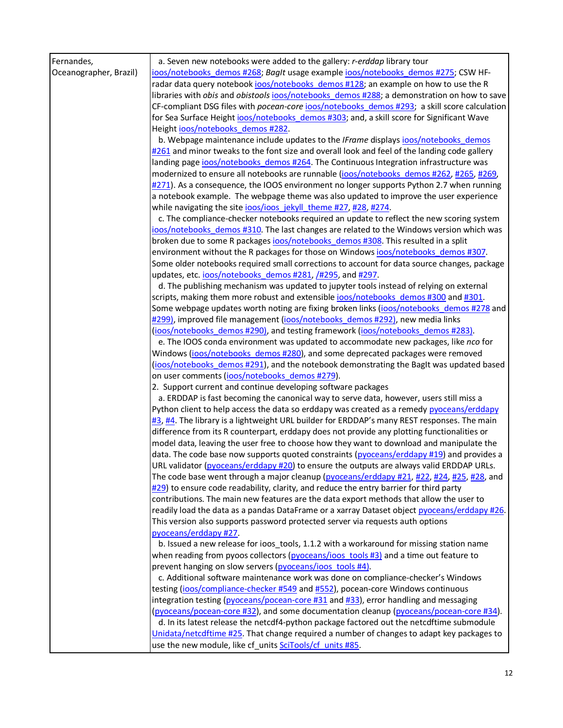| Fernandes,             | a. Seven new notebooks were added to the gallery: r-erddap library tour                                                                                                                 |
|------------------------|-----------------------------------------------------------------------------------------------------------------------------------------------------------------------------------------|
| Oceanographer, Brazil) | ioos/notebooks demos #268; BagIt usage example ioos/notebooks demos #275; CSW HF-                                                                                                       |
|                        | radar data query notebook ioos/notebooks demos #128; an example on how to use the R                                                                                                     |
|                        | libraries with obis and obistools ioos/notebooks demos #288; a demonstration on how to save                                                                                             |
|                        | CF-compliant DSG files with pocean-core joos/notebooks_demos #293; a skill score calculation                                                                                            |
|                        | for Sea Surface Height joos/notebooks demos #303; and, a skill score for Significant Wave                                                                                               |
|                        | Height ioos/notebooks demos #282.                                                                                                                                                       |
|                        | b. Webpage maintenance include updates to the IFrame displays joos/notebooks demos                                                                                                      |
|                        | #261 and minor tweaks to the font size and overall look and feel of the landing code gallery                                                                                            |
|                        | landing page ioos/notebooks demos #264. The Continuous Integration infrastructure was                                                                                                   |
|                        | modernized to ensure all notebooks are runnable (ioos/notebooks demos #262, #265, #269,                                                                                                 |
|                        | #271). As a consequence, the IOOS environment no longer supports Python 2.7 when running                                                                                                |
|                        | a notebook example. The webpage theme was also updated to improve the user experience                                                                                                   |
|                        | while navigating the site joos/joos jekyll theme #27, #28, #274.                                                                                                                        |
|                        | c. The compliance-checker notebooks required an update to reflect the new scoring system                                                                                                |
|                        | ioos/notebooks demos #310. The last changes are related to the Windows version which was                                                                                                |
|                        | broken due to some R packages joos/notebooks demos #308. This resulted in a split                                                                                                       |
|                        | environment without the R packages for those on Windows ioos/notebooks_demos #307.                                                                                                      |
|                        | Some older notebooks required small corrections to account for data source changes, package<br>updates, etc. ioos/notebooks_demos #281, /#295, and #297.                                |
|                        | d. The publishing mechanism was updated to jupyter tools instead of relying on external                                                                                                 |
|                        | scripts, making them more robust and extensible ioos/notebooks_demos #300 and #301.                                                                                                     |
|                        | Some webpage updates worth noting are fixing broken links (ioos/notebooks demos #278 and                                                                                                |
|                        | #299), improved file management (ioos/notebooks demos #292), new media links                                                                                                            |
|                        | (ioos/notebooks demos #290), and testing framework (ioos/notebooks demos #283).                                                                                                         |
|                        | e. The IOOS conda environment was updated to accommodate new packages, like nco for                                                                                                     |
|                        | Windows (ioos/notebooks demos #280), and some deprecated packages were removed                                                                                                          |
|                        | (ioos/notebooks demos #291), and the notebook demonstrating the BagIt was updated based                                                                                                 |
|                        | on user comments (ioos/notebooks demos #279).                                                                                                                                           |
|                        | 2. Support current and continue developing software packages                                                                                                                            |
|                        | a. ERDDAP is fast becoming the canonical way to serve data, however, users still miss a                                                                                                 |
|                        | Python client to help access the data so erddapy was created as a remedy pyoceans/erddapy                                                                                               |
|                        | #3, #4. The library is a lightweight URL builder for ERDDAP's many REST responses. The main                                                                                             |
|                        | difference from its R counterpart, erddapy does not provide any plotting functionalities or                                                                                             |
|                        | model data, leaving the user free to choose how they want to download and manipulate the                                                                                                |
|                        | data. The code base now supports quoted constraints (pyoceans/erddapy #19) and provides a                                                                                               |
|                        | URL validator (pyoceans/erddapy #20) to ensure the outputs are always valid ERDDAP URLs.                                                                                                |
|                        | The code base went through a major cleanup (pyoceans/erddapy #21, #22, #24, #25, #28, and                                                                                               |
|                        | $\frac{#29}{#29}$ to ensure code readability, clarity, and reduce the entry barrier for third party                                                                                     |
|                        | contributions. The main new features are the data export methods that allow the user to                                                                                                 |
|                        | readily load the data as a pandas DataFrame or a xarray Dataset object pyoceans/erddapy #26.                                                                                            |
|                        | This version also supports password protected server via requests auth options                                                                                                          |
|                        | pyoceans/erddapy #27.                                                                                                                                                                   |
|                        | b. Issued a new release for ioos_tools, 1.1.2 with a workaround for missing station name<br>when reading from pyoos collectors ( $pyoceans/ioos$ tools $#3$ ) and a time out feature to |
|                        | prevent hanging on slow servers (pyoceans/ioos tools #4).                                                                                                                               |
|                        | c. Additional software maintenance work was done on compliance-checker's Windows                                                                                                        |
|                        | testing (ioos/compliance-checker #549 and #552), pocean-core Windows continuous                                                                                                         |
|                        | integration testing (pyoceans/pocean-core #31 and #33), error handling and messaging                                                                                                    |
|                        | (pyoceans/pocean-core #32), and some documentation cleanup (pyoceans/pocean-core #34).                                                                                                  |
|                        | d. In its latest release the netcdf4-python package factored out the netcdftime submodule                                                                                               |
|                        | Unidata/netcdftime #25. That change required a number of changes to adapt key packages to                                                                                               |
|                        | use the new module, like cf_units SciTools/cf_units #85.                                                                                                                                |
|                        |                                                                                                                                                                                         |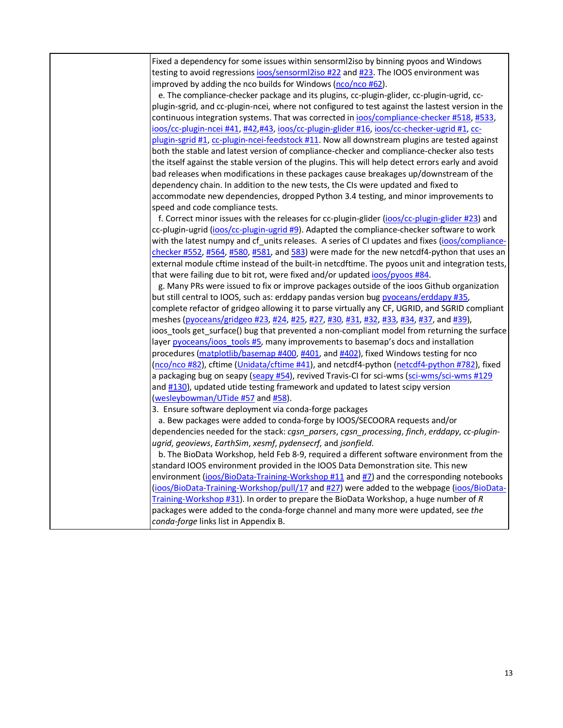Fixed a dependency for some issues within sensorml2iso by binning pyoos and Windows testing to avoid regressions ioos/sensorml2iso #22 and #23. The IOOS environment was improved by adding the nco builds for Windows (nco/nco #62). e. The compliance-checker package and its plugins, cc-plugin-glider, cc-plugin-ugrid, ccplugin-sgrid, and cc-plugin-ncei, where not configured to test against the lastest version in the continuous integration systems. That was corrected in ioos/compliance-checker #518, #533, ioos/cc-plugin-ncei #41, #42,#43, ioos/cc-plugin-glider #16, ioos/cc-checker-ugrid #1, ccplugin-sgrid #1, cc-plugin-ncei-feedstock #11. Now all downstream plugins are tested against both the stable and latest version of compliance-checker and compliance-checker also tests the itself against the stable version of the plugins. This will help detect errors early and avoid bad releases when modifications in these packages cause breakages up/downstream of the dependency chain. In addition to the new tests, the CIs were updated and fixed to accommodate new dependencies, dropped Python 3.4 testing, and minor improvements to speed and code compliance tests. f. Correct minor issues with the releases for cc-plugin-glider (ioos/cc-plugin-glider #23) and cc-plugin-ugrid (ioos/cc-plugin-ugrid #9). Adapted the compliance-checker software to work with the latest numpy and cf\_units releases. A series of CI updates and fixes (ioos/compliancechecker #552, #564, #580, #581, and 583) were made for the new netcdf4-python that uses an external module cftime instead of the built-in netcdftime. The pyoos unit and integration tests, that were failing due to bit rot, were fixed and/or updated ioos/pyoos #84. g. Many PRs were issued to fix or improve packages outside of the ioos Github organization but still central to IOOS, such as: erddapy pandas version bug pyoceans/erddapy #35, complete refactor of gridgeo allowing it to parse virtually any CF, UGRID, and SGRID compliant meshes (pyoceans/gridgeo #23, #24, #25, #27, #30, #31, #32, #33, #34, #37, and #39), ioos\_tools get\_surface() bug that prevented a non-compliant model from returning the surface layer pyoceans/ioos tools #5, many improvements to basemap's docs and installation procedures (matplotlib/basemap #400, #401, and #402), fixed Windows testing for nco (nco/nco #82), cftime (Unidata/cftime #41), and netcdf4-python (netcdf4-python #782), fixed a packaging bug on seapy (seapy #54), revived Travis-CI for sci-wms (sci-wms/sci-wms #129 and #130), updated utide testing framework and updated to latest scipy version (wesleybowman/UTide #57 and #58). 3. Ensure software deployment via conda-forge packages a. Bew packages were added to conda-forge by IOOS/SECOORA requests and/or dependencies needed for the stack: *cgsn\_parsers*, *cgsn\_processing*, *finch*, *erddapy*, *cc-pluginugrid*, *geoviews*, *EarthSim*, *xesmf*, *pydensecrf*, and *jsonfield*. b. The BioData Workshop, held Feb 8-9, required a different software environment from the standard IOOS environment provided in the IOOS Data Demonstration site. This new environment (ioos/BioData-Training-Workshop #11 and #7) and the corresponding notebooks (ioos/BioData-Training-Workshop/pull/17 and #27) were added to the webpage (ioos/BioData-Training-Workshop #31). In order to prepare the BioData Workshop, a huge number of *R*

packages were added to the conda-forge channel and many more were updated, see *the conda-forge* links list in Appendix B.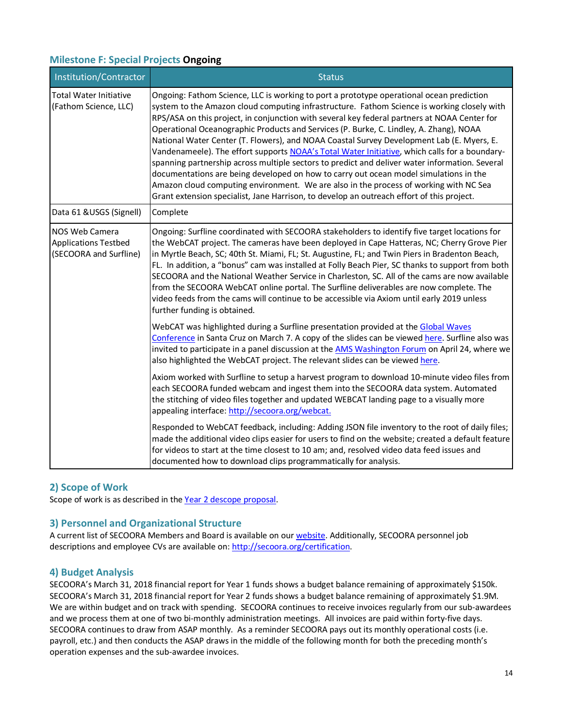## **Milestone F: Special Projects Ongoing**

| Institution/Contractor                                                         | <b>Status</b>                                                                                                                                                                                                                                                                                                                                                                                                                                                                                                                                                                                                                                                                                                                                                                                                                                                                                                                                                    |
|--------------------------------------------------------------------------------|------------------------------------------------------------------------------------------------------------------------------------------------------------------------------------------------------------------------------------------------------------------------------------------------------------------------------------------------------------------------------------------------------------------------------------------------------------------------------------------------------------------------------------------------------------------------------------------------------------------------------------------------------------------------------------------------------------------------------------------------------------------------------------------------------------------------------------------------------------------------------------------------------------------------------------------------------------------|
| <b>Total Water Initiative</b><br>(Fathom Science, LLC)                         | Ongoing: Fathom Science, LLC is working to port a prototype operational ocean prediction<br>system to the Amazon cloud computing infrastructure. Fathom Science is working closely with<br>RPS/ASA on this project, in conjunction with several key federal partners at NOAA Center for<br>Operational Oceanographic Products and Services (P. Burke, C. Lindley, A. Zhang), NOAA<br>National Water Center (T. Flowers), and NOAA Coastal Survey Development Lab (E. Myers, E.<br>Vandenameele). The effort supports NOAA's Total Water Initiative, which calls for a boundary-<br>spanning partnership across multiple sectors to predict and deliver water information. Several<br>documentations are being developed on how to carry out ocean model simulations in the<br>Amazon cloud computing environment. We are also in the process of working with NC Sea<br>Grant extension specialist, Jane Harrison, to develop an outreach effort of this project. |
| Data 61 & USGS (Signell)                                                       | Complete                                                                                                                                                                                                                                                                                                                                                                                                                                                                                                                                                                                                                                                                                                                                                                                                                                                                                                                                                         |
| <b>NOS Web Camera</b><br><b>Applications Testbed</b><br>(SECOORA and Surfline) | Ongoing: Surfline coordinated with SECOORA stakeholders to identify five target locations for<br>the WebCAT project. The cameras have been deployed in Cape Hatteras, NC; Cherry Grove Pier<br>in Myrtle Beach, SC; 40th St. Miami, FL; St. Augustine, FL; and Twin Piers in Bradenton Beach,<br>FL. In addition, a "bonus" cam was installed at Folly Beach Pier, SC thanks to support from both<br>SECOORA and the National Weather Service in Charleston, SC. All of the cams are now available<br>from the SECOORA WebCAT online portal. The Surfline deliverables are now complete. The<br>video feeds from the cams will continue to be accessible via Axiom until early 2019 unless<br>further funding is obtained.                                                                                                                                                                                                                                       |
|                                                                                | WebCAT was highlighted during a Surfline presentation provided at the Global Waves<br>Conference in Santa Cruz on March 7. A copy of the slides can be viewed here. Surfline also was<br>invited to participate in a panel discussion at the AMS Washington Forum on April 24, where we<br>also highlighted the WebCAT project. The relevant slides can be viewed here.                                                                                                                                                                                                                                                                                                                                                                                                                                                                                                                                                                                          |
|                                                                                | Axiom worked with Surfline to setup a harvest program to download 10-minute video files from<br>each SECOORA funded webcam and ingest them into the SECOORA data system. Automated<br>the stitching of video files together and updated WEBCAT landing page to a visually more<br>appealing interface: http://secoora.org/webcat.                                                                                                                                                                                                                                                                                                                                                                                                                                                                                                                                                                                                                                |
|                                                                                | Responded to WebCAT feedback, including: Adding JSON file inventory to the root of daily files;<br>made the additional video clips easier for users to find on the website; created a default feature<br>for videos to start at the time closest to 10 am; and, resolved video data feed issues and<br>documented how to download clips programmatically for analysis.                                                                                                                                                                                                                                                                                                                                                                                                                                                                                                                                                                                           |

## **2) Scope of Work**

Scope of work is as described in the Year 2 descope proposal.

### **3) Personnel and Organizational Structure**

A current list of SECOORA Members and Board is available on our website. Additionally, SECOORA personnel job descriptions and employee CVs are available on: http://secoora.org/certification.

### **4) Budget Analysis**

SECOORA's March 31, 2018 financial report for Year 1 funds shows a budget balance remaining of approximately \$150k. SECOORA's March 31, 2018 financial report for Year 2 funds shows a budget balance remaining of approximately \$1.9M. We are within budget and on track with spending. SECOORA continues to receive invoices regularly from our sub-awardees and we process them at one of two bi-monthly administration meetings. All invoices are paid within forty-five days. SECOORA continues to draw from ASAP monthly. As a reminder SECOORA pays out its monthly operational costs (i.e. payroll, etc.) and then conducts the ASAP draws in the middle of the following month for both the preceding month's operation expenses and the sub-awardee invoices.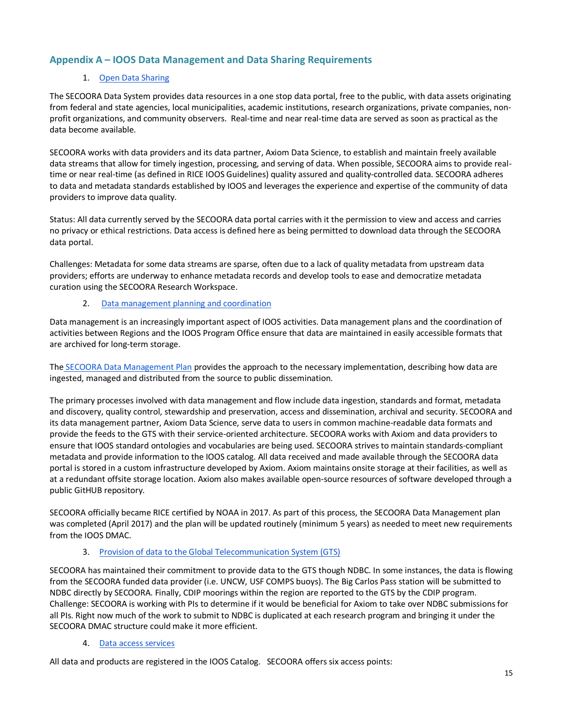## **Appendix A – IOOS Data Management and Data Sharing Requirements**

#### 1. Open Data Sharing

The SECOORA Data System provides data resources in a one stop data portal, free to the public, with data assets originating from federal and state agencies, local municipalities, academic institutions, research organizations, private companies, nonprofit organizations, and community observers. Real-time and near real-time data are served as soon as practical as the data become available.

SECOORA works with data providers and its data partner, Axiom Data Science, to establish and maintain freely available data streams that allow for timely ingestion, processing, and serving of data. When possible, SECOORA aims to provide realtime or near real-time (as defined in RICE IOOS Guidelines) quality assured and quality-controlled data. SECOORA adheres to data and metadata standards established by IOOS and leverages the experience and expertise of the community of data providers to improve data quality.

Status: All data currently served by the SECOORA data portal carries with it the permission to view and access and carries no privacy or ethical restrictions. Data access is defined here as being permitted to download data through the SECOORA data portal.

Challenges: Metadata for some data streams are sparse, often due to a lack of quality metadata from upstream data providers; efforts are underway to enhance metadata records and develop tools to ease and democratize metadata curation using the SECOORA Research Workspace.

#### 2. Data management planning and coordination

Data management is an increasingly important aspect of IOOS activities. Data management plans and the coordination of activities between Regions and the IOOS Program Office ensure that data are maintained in easily accessible formats that are archived for long-term storage.

The SECOORA Data Management Plan provides the approach to the necessary implementation, describing how data are ingested, managed and distributed from the source to public dissemination.

The primary processes involved with data management and flow include data ingestion, standards and format, metadata and discovery, quality control, stewardship and preservation, access and dissemination, archival and security. SECOORA and its data management partner, Axiom Data Science, serve data to users in common machine-readable data formats and provide the feeds to the GTS with their service-oriented architecture. SECOORA works with Axiom and data providers to ensure that IOOS standard ontologies and vocabularies are being used. SECOORA strives to maintain standards-compliant metadata and provide information to the IOOS catalog. All data received and made available through the SECOORA data portal is stored in a custom infrastructure developed by Axiom. Axiom maintains onsite storage at their facilities, as well as at a redundant offsite storage location. Axiom also makes available open-source resources of software developed through a public GitHUB repository.

SECOORA officially became RICE certified by NOAA in 2017. As part of this process, the SECOORA Data Management plan was completed (April 2017) and the plan will be updated routinely (minimum 5 years) as needed to meet new requirements from the IOOS DMAC.

#### 3. Provision of data to the Global Telecommunication System (GTS)

SECOORA has maintained their commitment to provide data to the GTS though NDBC. In some instances, the data is flowing from the SECOORA funded data provider (i.e. UNCW, USF COMPS buoys). The Big Carlos Pass station will be submitted to NDBC directly by SECOORA. Finally, CDIP moorings within the region are reported to the GTS by the CDIP program. Challenge: SECOORA is working with PIs to determine if it would be beneficial for Axiom to take over NDBC submissions for all PIs. Right now much of the work to submit to NDBC is duplicated at each research program and bringing it under the SECOORA DMAC structure could make it more efficient.

#### 4. Data access services

All data and products are registered in the IOOS Catalog. SECOORA offers six access points: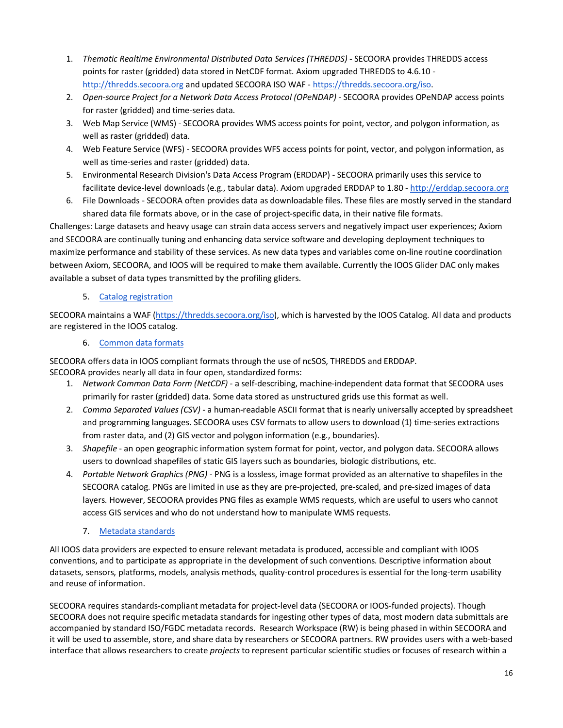- 1. *Thematic Realtime Environmental Distributed Data Services (THREDDS)* SECOORA provides THREDDS access points for raster (gridded) data stored in NetCDF format. Axiom upgraded THREDDS to 4.6.10 http://thredds.secoora.org and updated SECOORA ISO WAF - https://thredds.secoora.org/iso.
- 2. Open-source Project for a Network Data Access Protocol (OPeNDAP) SECOORA provides OPeNDAP access points for raster (gridded) and time-series data.
- 3. Web Map Service (WMS) SECOORA provides WMS access points for point, vector, and polygon information, as well as raster (gridded) data.
- 4. Web Feature Service (WFS) SECOORA provides WFS access points for point, vector, and polygon information, as well as time-series and raster (gridded) data.
- 5. Environmental Research Division's Data Access Program (ERDDAP) SECOORA primarily uses this service to facilitate device-level downloads (e.g., tabular data). Axiom upgraded ERDDAP to 1.80 - http://erddap.secoora.org
- 6. File Downloads SECOORA often provides data as downloadable files. These files are mostly served in the standard shared data file formats above, or in the case of project-specific data, in their native file formats.

Challenges: Large datasets and heavy usage can strain data access servers and negatively impact user experiences; Axiom and SECOORA are continually tuning and enhancing data service software and developing deployment techniques to maximize performance and stability of these services. As new data types and variables come on-line routine coordination between Axiom, SECOORA, and IOOS will be required to make them available. Currently the IOOS Glider DAC only makes available a subset of data types transmitted by the profiling gliders.

### 5. Catalog registration

SECOORA maintains a WAF (https://thredds.secoora.org/iso), which is harvested by the IOOS Catalog. All data and products are registered in the IOOS catalog.

### 6. Common data formats

SECOORA offers data in IOOS compliant formats through the use of ncSOS, THREDDS and ERDDAP. SECOORA provides nearly all data in four open, standardized forms:

- 1. *Network Common Data Form (NetCDF)*  a self-describing, machine-independent data format that SECOORA uses primarily for raster (gridded) data. Some data stored as unstructured grids use this format as well.
- 2. *Comma Separated Values (CSV)* a human-readable ASCII format that is nearly universally accepted by spreadsheet and programming languages. SECOORA uses CSV formats to allow users to download (1) time-series extractions from raster data, and (2) GIS vector and polygon information (e.g., boundaries).
- 3. *Shapefile* an open geographic information system format for point, vector, and polygon data. SECOORA allows users to download shapefiles of static GIS layers such as boundaries, biologic distributions, etc.
- 4. *Portable Network Graphics (PNG)* PNG is a lossless, image format provided as an alternative to shapefiles in the SECOORA catalog. PNGs are limited in use as they are pre-projected, pre-scaled, and pre-sized images of data layers. However, SECOORA provides PNG files as example WMS requests, which are useful to users who cannot access GIS services and who do not understand how to manipulate WMS requests.
	- 7. Metadata standards

All IOOS data providers are expected to ensure relevant metadata is produced, accessible and compliant with IOOS conventions, and to participate as appropriate in the development of such conventions. Descriptive information about datasets, sensors, platforms, models, analysis methods, quality-control procedures is essential for the long-term usability and reuse of information.

SECOORA requires standards-compliant metadata for project-level data (SECOORA or IOOS-funded projects). Though SECOORA does not require specific metadata standards for ingesting other types of data, most modern data submittals are accompanied by standard ISO/FGDC metadata records. Research Workspace (RW) is being phased in within SECOORA and it will be used to assemble, store, and share data by researchers or SECOORA partners. RW provides users with a web-based interface that allows researchers to create *projects* to represent particular scientific studies or focuses of research within a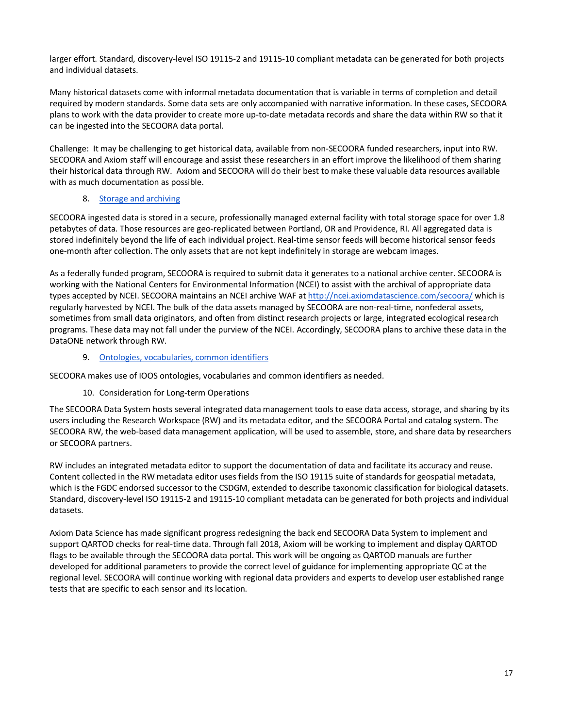larger effort. Standard, discovery-level ISO 19115-2 and 19115-10 compliant metadata can be generated for both projects and individual datasets.

Many historical datasets come with informal metadata documentation that is variable in terms of completion and detail required by modern standards. Some data sets are only accompanied with narrative information. In these cases, SECOORA plans to work with the data provider to create more up-to-date metadata records and share the data within RW so that it can be ingested into the SECOORA data portal.

Challenge: It may be challenging to get historical data, available from non-SECOORA funded researchers, input into RW. SECOORA and Axiom staff will encourage and assist these researchers in an effort improve the likelihood of them sharing their historical data through RW. Axiom and SECOORA will do their best to make these valuable data resources available with as much documentation as possible.

#### 8. Storage and archiving

SECOORA ingested data is stored in a secure, professionally managed external facility with total storage space for over 1.8 petabytes of data. Those resources are geo-replicated between Portland, OR and Providence, RI. All aggregated data is stored indefinitely beyond the life of each individual project. Real-time sensor feeds will become historical sensor feeds one-month after collection. The only assets that are not kept indefinitely in storage are webcam images.

As a federally funded program, SECOORA is required to submit data it generates to a national archive center. SECOORA is working with the National Centers for Environmental Information (NCEI) to assist with the archival of appropriate data types accepted by NCEI. SECOORA maintains an NCEI archive WAF at http://ncei.axiomdatascience.com/secoora/ which is regularly harvested by NCEI. The bulk of the data assets managed by SECOORA are non-real-time, nonfederal assets, sometimes from small data originators, and often from distinct research projects or large, integrated ecological research programs. These data may not fall under the purview of the NCEI. Accordingly, SECOORA plans to archive these data in the DataONE network through RW.

#### 9. Ontologies, vocabularies, common identifiers

SECOORA makes use of IOOS ontologies, vocabularies and common identifiers as needed.

### 10. Consideration for Long-term Operations

The SECOORA Data System hosts several integrated data management tools to ease data access, storage, and sharing by its users including the Research Workspace (RW) and its metadata editor, and the SECOORA Portal and catalog system. The SECOORA RW, the web-based data management application, will be used to assemble, store, and share data by researchers or SECOORA partners.

RW includes an integrated metadata editor to support the documentation of data and facilitate its accuracy and reuse. Content collected in the RW metadata editor uses fields from the ISO 19115 suite of standards for geospatial metadata, which is the FGDC endorsed successor to the CSDGM, extended to describe taxonomic classification for biological datasets. Standard, discovery-level ISO 19115-2 and 19115-10 compliant metadata can be generated for both projects and individual datasets.

Axiom Data Science has made significant progress redesigning the back end SECOORA Data System to implement and support QARTOD checks for real-time data. Through fall 2018, Axiom will be working to implement and display QARTOD flags to be available through the SECOORA data portal. This work will be ongoing as QARTOD manuals are further developed for additional parameters to provide the correct level of guidance for implementing appropriate QC at the regional level. SECOORA will continue working with regional data providers and experts to develop user established range tests that are specific to each sensor and its location.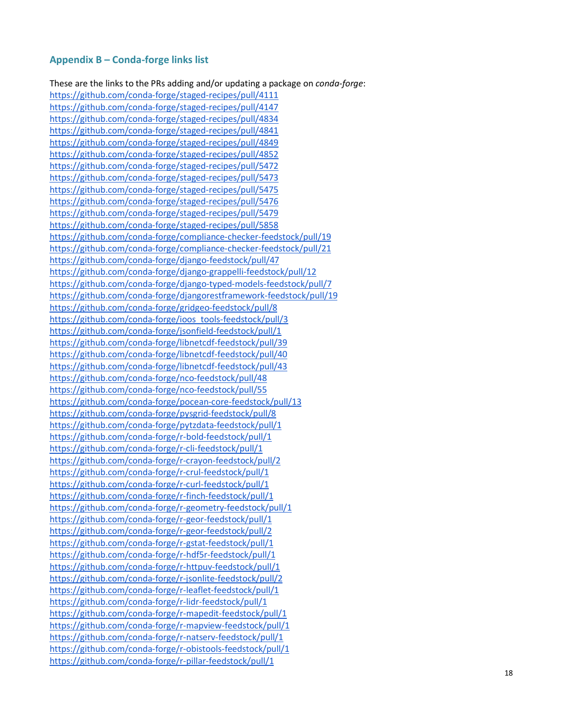### **Appendix B – Conda -forge links list**

These are the links to the PRs adding and/or updating a package on *conda -forge* : https://github.com/conda -forge/staged -recipes/pull/4111 https://github.com/conda -forge/staged -recipes/pull/4147 https://github.com/conda -forge/staged -recipes/pull/4834 https://github.com/conda -forge/staged -recipes/pull/4841 https://github.com/conda -forge/staged -recipes/pull/4849 https://github.com/conda -forge/staged -recipes/pull/4852 https://github.com/conda -forge/staged -recipes/pull/5472 https://github.com/conda -forge/staged -recipes/pull/5473 https://github.com/conda -forge/staged -recipes/pull/5475 https://github.com/conda -forge/staged -recipes/pull/5476 https://github.com/conda -forge/staged -recipes/pull/5479 https://github.com/conda -forge/staged -recipes/pull/5858 https://github.com/conda -forge/compliance -checker -feedstock/pull/19 https://github.com/conda -forge/compliance -checker -feedstock/pull/21 https://github.com/conda -forge/django -feedstock/pull/47 https://github.com/conda -forge/django -grappelli -feedstock/pull/12 https://github.com/conda -forge/django -typed -models -feedstock/pull/7 https://github.com/conda -forge/djangorestframework -feedstock/pull/19 https://github.com/conda -forge/gridgeo -feedstock/pull/8 https://github.com/conda -forge/ioos\_tools -feedstock/pull/3 https://github.com/conda -forge/jsonfield -feedstock/pull/1 https://github.com/conda -forge/libnetcdf -feedstock/pull/39 https://github.com/conda -forge/libnetcdf -feedstock/pull/40 https://github.com/conda -forge/libnetcdf -feedstock/pull/43 https://github.com/conda -forge/nco -feedstock/pull/48 https://github.com/conda -forge/nco -feedstock/pull/55 https://github.com/conda -forge/pocean -core -feedstock/pull/13 https://github.com/conda -forge/pysgrid -feedstock/pull/8 https://github.com/conda -forge/pytzdata -feedstock/pull/1 https://github.com/conda -forge/r -bold -feedstock/pull/1 https://github.com/conda -forge/r -cli -feedstock/pull/1 https://github.com/conda -forge/r -crayon -feedstock/pull/2 https://github.com/conda -forge/r -crul -feedstock/pull/1 https://github.com/conda -forge/r -curl -feedstock/pull/1 https://github.com/conda -forge/r -finch -feedstock/pull/1 https://github.com/conda -forge/r -geometry -feedstock/pull/1 https://github.com/conda -forge/r -geor -feedstock/pull/1 https://github.com/conda -forge/r -geor -feedstock/pull/2 https://github.com/conda -forge/r -gstat -feedstock/pull/1 https://github.com/conda -forge/r -hdf5r -feedstock/pull/1 https://github.com/conda -forge/r -httpuv -feedstock/pull/1 https://github.com/conda -forge/r -jsonlite -feedstock/pull/2 https://github.com/conda -forge/r -leaflet -feedstock/pull/1 https://github.com/conda -forge/r -lidr -feedstock/pull/1 https://github.com/conda -forge/r -mapedit -feedstock/pull/1 https://github.com/conda -forge/r -mapview -feedstock/pull/1 https://github.com/conda -forge/r -natserv -feedstock/pull/1 https://github.com/conda -forge/r -obistools -feedstock/pull/1 https://github.com/conda -forge/r -pillar -feedstock/pull/1